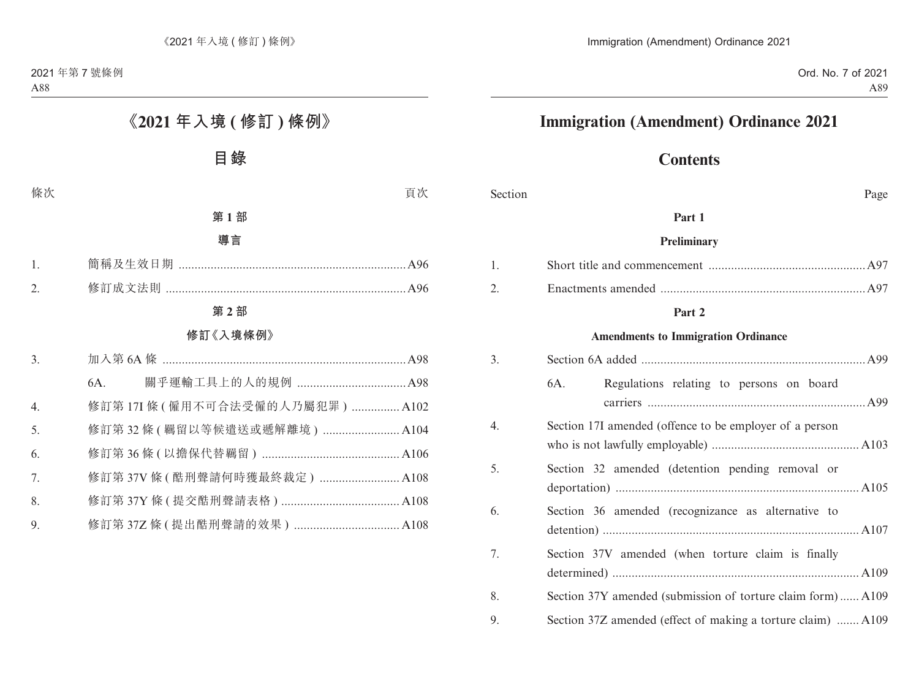# **Immigration (Amendment) Ordinance 2021**

# **Contents**

Section Page

#### **Part 1**

#### **Preliminary**

#### **Part 2**

#### **Amendments to Immigration Ordinance**

| 3. |                                                              |  |  |
|----|--------------------------------------------------------------|--|--|
|    | Regulations relating to persons on board<br>6A.              |  |  |
| 4. | Section 17I amended (offence to be employer of a person      |  |  |
| 5. | Section 32 amended (detention pending removal or             |  |  |
| 6. | Section 36 amended (recognizance as alternative to           |  |  |
| 7. | Section 37V amended (when torture claim is finally           |  |  |
| 8. | Section 37Y amended (submission of torture claim form) A109  |  |  |
| 9. | Section 37Z amended (effect of making a torture claim)  A109 |  |  |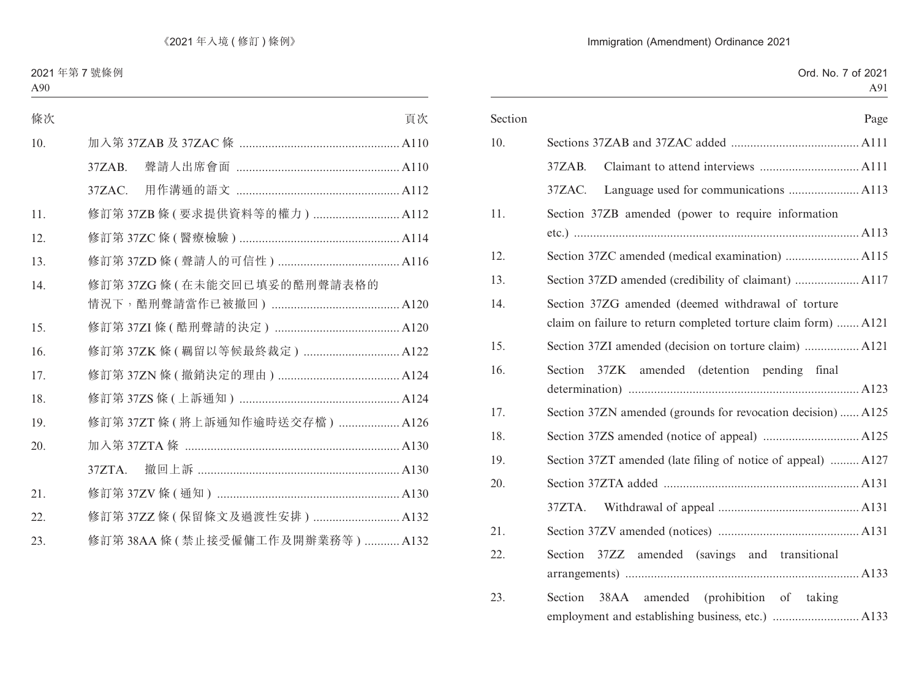### Immigration (Amendment) Ordinance 2021

| Section | Page                                                           |
|---------|----------------------------------------------------------------|
| 10.     |                                                                |
|         | $37ZAB$ .                                                      |
|         | 37ZAC.                                                         |
| 11.     | Section 37ZB amended (power to require information             |
|         |                                                                |
| 12.     |                                                                |
| 13.     |                                                                |
| 14.     | Section 37ZG amended (deemed withdrawal of torture             |
|         | claim on failure to return completed torture claim form)  A121 |
| 15.     |                                                                |
| 16.     | Section 37ZK amended (detention pending final                  |
|         |                                                                |
| 17.     | Section 37ZN amended (grounds for revocation decision)  A125   |
| 18.     |                                                                |
| 19.     | Section 37ZT amended (late filing of notice of appeal)  A127   |
| 20.     |                                                                |
|         | 37ZTA.                                                         |
| 21.     |                                                                |
| 22.     | Section 37ZZ amended (savings and transitional                 |
|         |                                                                |
| 23.     | 38AA amended (prohibition of taking<br>Section                 |
|         |                                                                |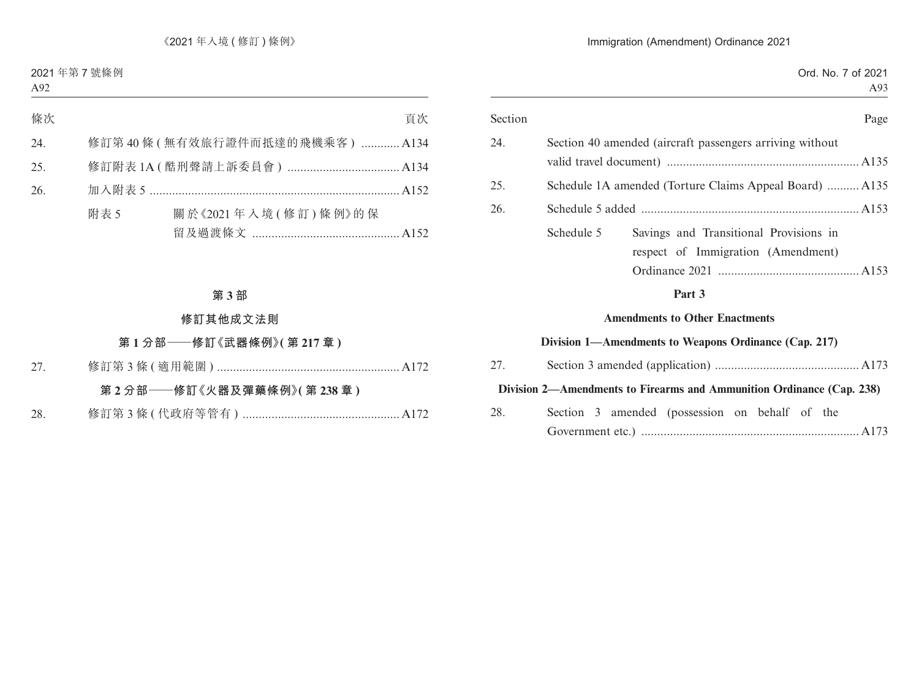#### Immigration (Amendment) Ordinance 2021

| Section | Page                                                     |
|---------|----------------------------------------------------------|
| 24.     | Section 40 amended (aircraft passengers arriving without |
|         |                                                          |
| 25.     | Schedule 1A amended (Torture Claims Appeal Board)  A135  |
| 26.     |                                                          |
|         | Savings and Transitional Provisions in<br>Schedule 5     |
|         | respect of Immigration (Amendment)                       |
|         |                                                          |
|         | Part 3                                                   |
|         | <b>Amendments to Other Enactments</b>                    |
|         | Division 1—Amendments to Weapons Ordinance (Cap. 217)    |

| 27. |  |                                                                       |  |  |  |
|-----|--|-----------------------------------------------------------------------|--|--|--|
|     |  | Division 2—Amendments to Firearms and Ammunition Ordinance (Cap. 238) |  |  |  |
| 28. |  | Section 3 amended (possession on behalf of the                        |  |  |  |
|     |  |                                                                       |  |  |  |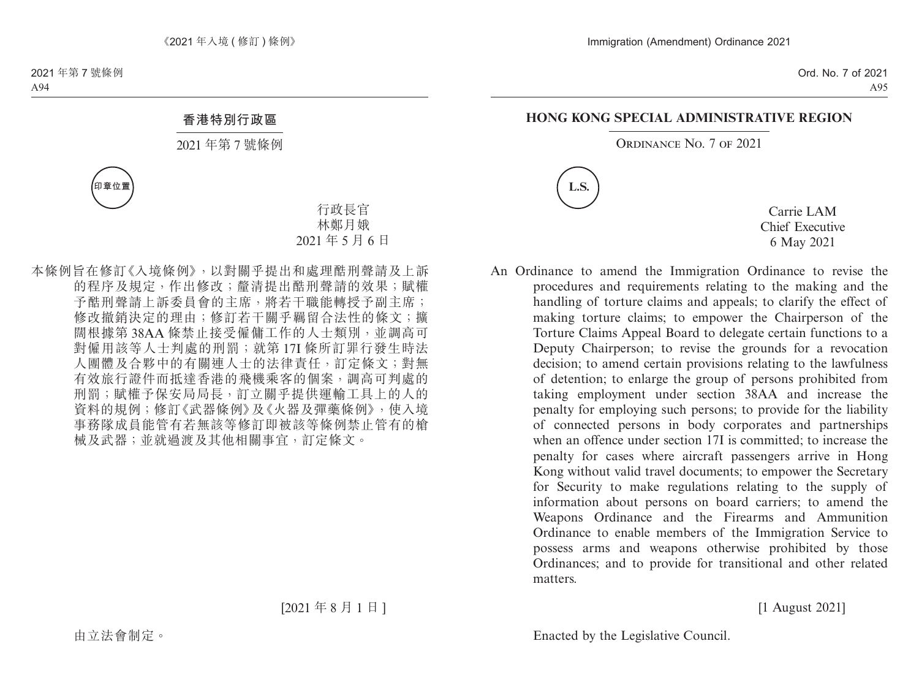#### **HONG KONG SPECIAL ADMINISTRATIVE REGION**

ORDINANCE NO. 7 OF 2021



Carrie LAM Chief Executive 6 May 2021

An Ordinance to amend the Immigration Ordinance to revise the procedures and requirements relating to the making and the handling of torture claims and appeals; to clarify the effect of making torture claims; to empower the Chairperson of the Torture Claims Appeal Board to delegate certain functions to a Deputy Chairperson; to revise the grounds for a revocation decision; to amend certain provisions relating to the lawfulness of detention; to enlarge the group of persons prohibited from taking employment under section 38AA and increase the penalty for employing such persons; to provide for the liability of connected persons in body corporates and partnerships when an offence under section 17I is committed; to increase the penalty for cases where aircraft passengers arrive in Hong Kong without valid travel documents; to empower the Secretary for Security to make regulations relating to the supply of information about persons on board carriers; to amend the Weapons Ordinance and the Firearms and Ammunition Ordinance to enable members of the Immigration Service to possess arms and weapons otherwise prohibited by those Ordinances; and to provide for transitional and other related matters.

[1 August 2021]

Enacted by the Legislative Council.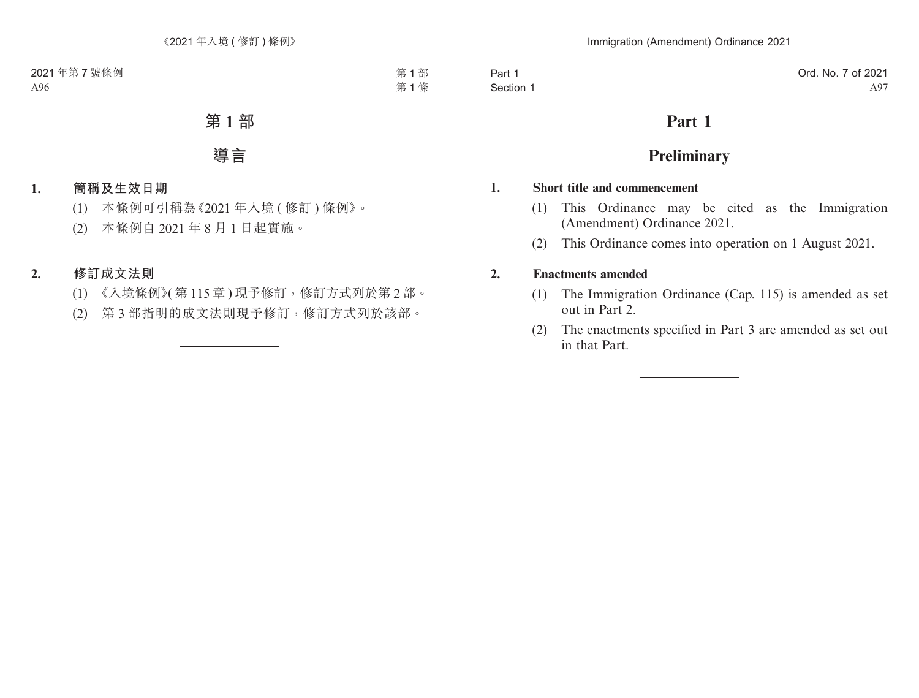# **Part 1**

# **Preliminary**

### **1. Short title and commencement**

- (1) This Ordinance may be cited as the Immigration (Amendment) Ordinance 2021.
- (2) This Ordinance comes into operation on 1 August 2021.

# **2. Enactments amended**

- (1) The Immigration Ordinance (Cap. 115) is amended as set out in Part 2.
- (2) The enactments specified in Part 3 are amended as set out in that Part.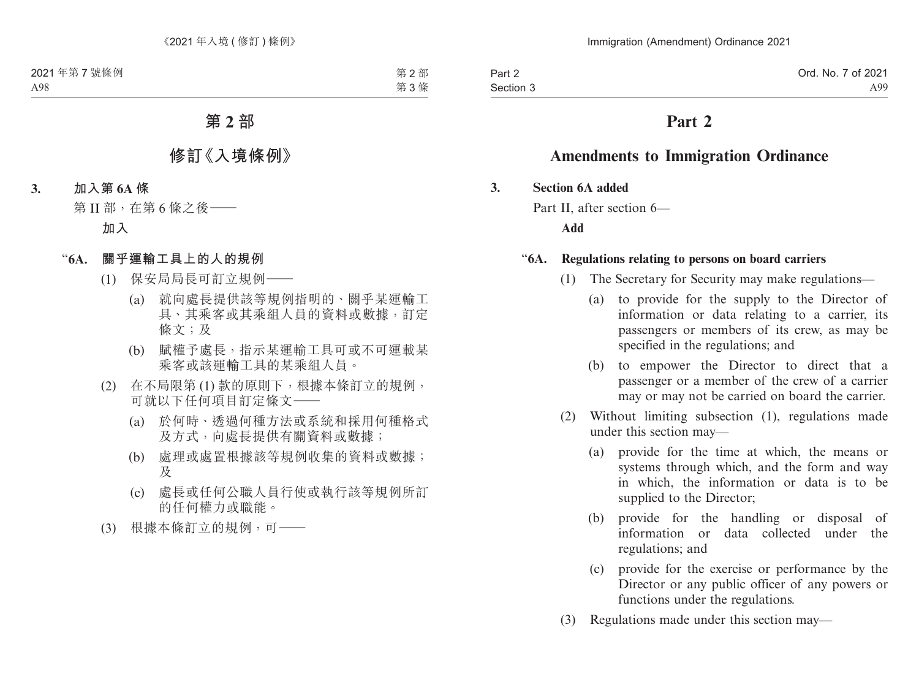Part 2 Section 3

# **Part 2**

# **Amendments to Immigration Ordinance**

### **3. Section 6A added**

Part II, after section 6—

**Add**

### "**6A. Regulations relating to persons on board carriers**

- (1) The Secretary for Security may make regulations—
	- (a) to provide for the supply to the Director of information or data relating to a carrier, its passengers or members of its crew, as may be specified in the regulations; and
	- (b) to empower the Director to direct that a passenger or a member of the crew of a carrier may or may not be carried on board the carrier.
- (2) Without limiting subsection (1), regulations made under this section may—
	- (a) provide for the time at which, the means or systems through which, and the form and way in which, the information or data is to be supplied to the Director;
	- (b) provide for the handling or disposal of information or data collected under the regulations; and
	- (c) provide for the exercise or performance by the Director or any public officer of any powers or functions under the regulations.
- (3) Regulations made under this section may—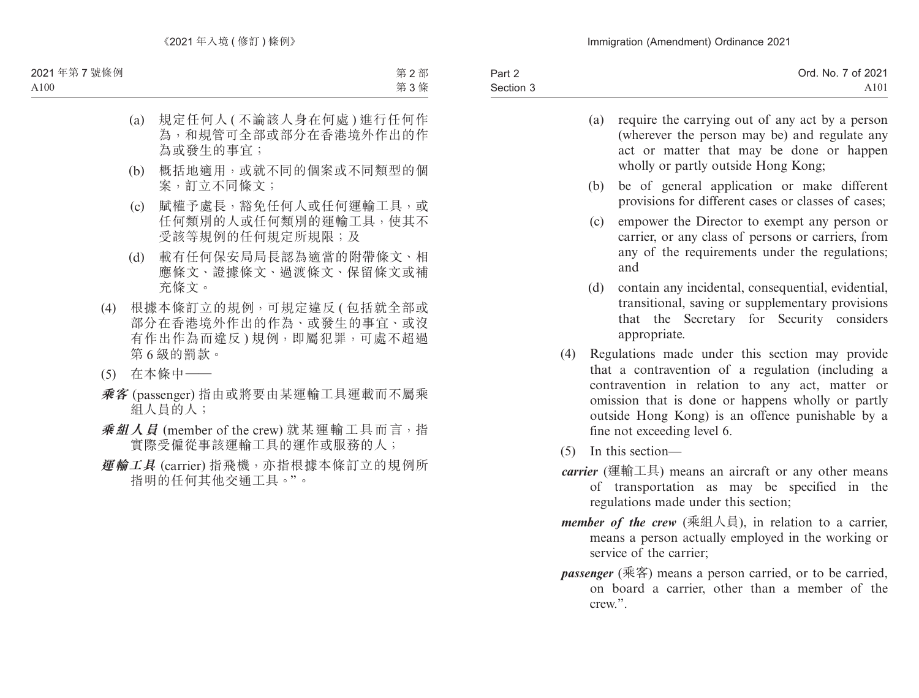| Part 2    | Ord. No. 7 of 2021 |
|-----------|--------------------|
| Section 3 | A <sub>101</sub>   |
|           |                    |

- (a) require the carrying out of any act by a person (wherever the person may be) and regulate any act or matter that may be done or happen wholly or partly outside Hong Kong;
- (b) be of general application or make different provisions for different cases or classes of cases;
- (c) empower the Director to exempt any person or carrier, or any class of persons or carriers, from any of the requirements under the regulations; and
- (d) contain any incidental, consequential, evidential, transitional, saving or supplementary provisions that the Secretary for Security considers appropriate.
- (4) Regulations made under this section may provide that a contravention of a regulation (including a contravention in relation to any act, matter or omission that is done or happens wholly or partly outside Hong Kong) is an offence punishable by a fine not exceeding level 6.
- (5) In this section—
- *carrier* (運輸工具) means an aircraft or any other means of transportation as may be specified in the regulations made under this section;
- *member of the crew* (乘組人員), in relation to a carrier, means a person actually employed in the working or service of the carrier;
- *passenger* (乘客) means a person carried, or to be carried, on board a carrier, other than a member of the crew.".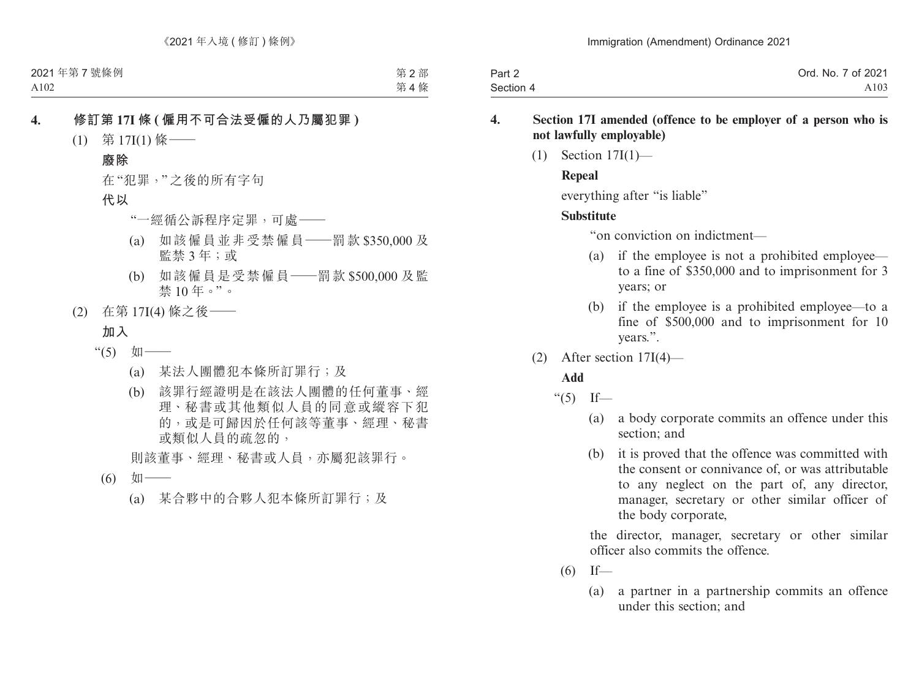| Part 2    | Ord. No. 7 of 2021 |
|-----------|--------------------|
| Section 4 | A103               |

### **4. Section 17I amended (offence to be employer of a person who is not lawfully employable)**

(1) Section 17I(1)—

## **Repeal**

everything after "is liable"

# **Substitute**

"on conviction on indictment—

- (a) if the employee is not a prohibited employee to a fine of \$350,000 and to imprisonment for 3 years; or
- (b) if the employee is a prohibited employee—to a fine of \$500,000 and to imprisonment for 10 years.".
- (2) After section 17I(4)—

# **Add**

- " $(5)$  If—
	- (a) a body corporate commits an offence under this section; and
	- (b) it is proved that the offence was committed with the consent or connivance of, or was attributable to any neglect on the part of, any director, manager, secretary or other similar officer of the body corporate,

the director, manager, secretary or other similar officer also commits the offence.

- $(6)$  If—
	- (a) a partner in a partnership commits an offence under this section; and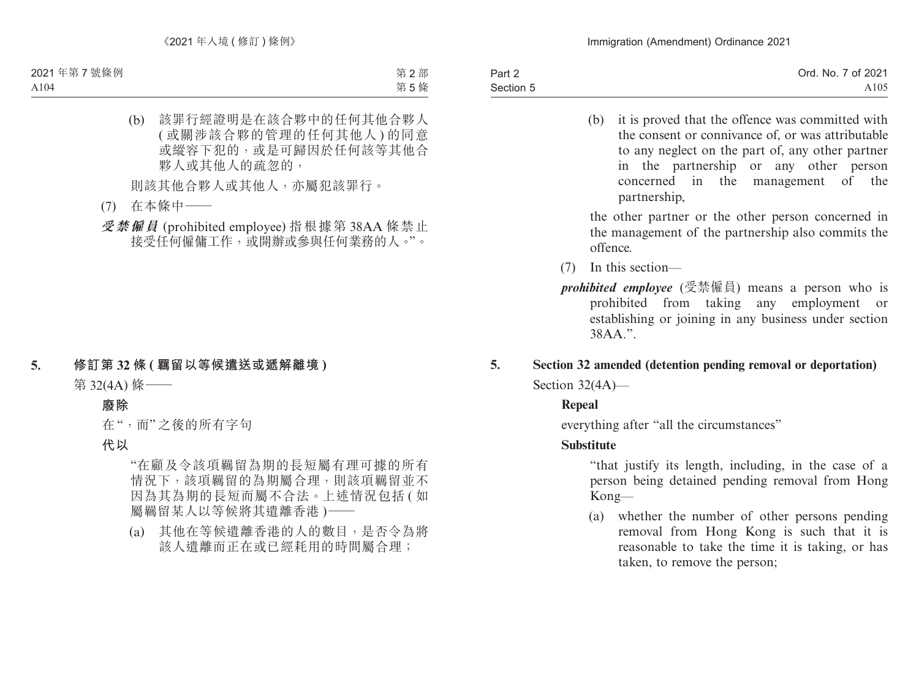Part 2 Section 5 Ord. No. 7 of 2021 A105

> (b) it is proved that the offence was committed with the consent or connivance of, or was attributable to any neglect on the part of, any other partner in the partnership or any other person concerned in the management of the partnership,

> the other partner or the other person concerned in the management of the partnership also commits the offence.

- (7) In this section—
- *prohibited employee* (受禁僱員) means a person who is prohibited from taking any employment or establishing or joining in any business under section 38AA.".

# **5. Section 32 amended (detention pending removal or deportation)** Section 32(4A)—

# **Repeal**

everything after "all the circumstances"

# **Substitute**

 "that justify its length, including, in the case of a person being detained pending removal from Hong Kong—

(a) whether the number of other persons pending removal from Hong Kong is such that it is reasonable to take the time it is taking, or has taken, to remove the person;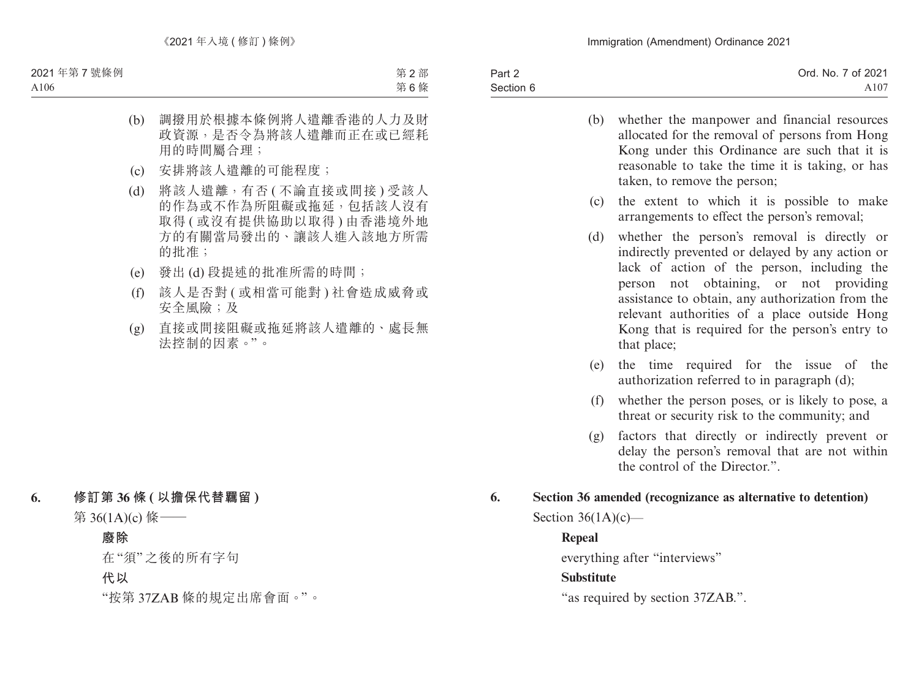| Part 2    | Ord. No. 7 of 2021 |
|-----------|--------------------|
| Section 6 | A107               |

- (b) whether the manpower and financial resources allocated for the removal of persons from Hong Kong under this Ordinance are such that it is reasonable to take the time it is taking, or has taken, to remove the person;
- (c) the extent to which it is possible to make arrangements to effect the person's removal;
- (d) whether the person's removal is directly or indirectly prevented or delayed by any action or lack of action of the person, including the person not obtaining, or not providing assistance to obtain, any authorization from the relevant authorities of a place outside Hong Kong that is required for the person's entry to that place;
- (e) the time required for the issue of the authorization referred to in paragraph (d);
- (f) whether the person poses, or is likely to pose, a threat or security risk to the community; and
- (g) factors that directly or indirectly prevent or delay the person's removal that are not within the control of the Director."
- **6. Section 36 amended (recognizance as alternative to detention)** Section  $36(1A)(c)$ —

# **Repeal**

everything after "interviews"

# **Substitute**

"as required by section 37ZAB.".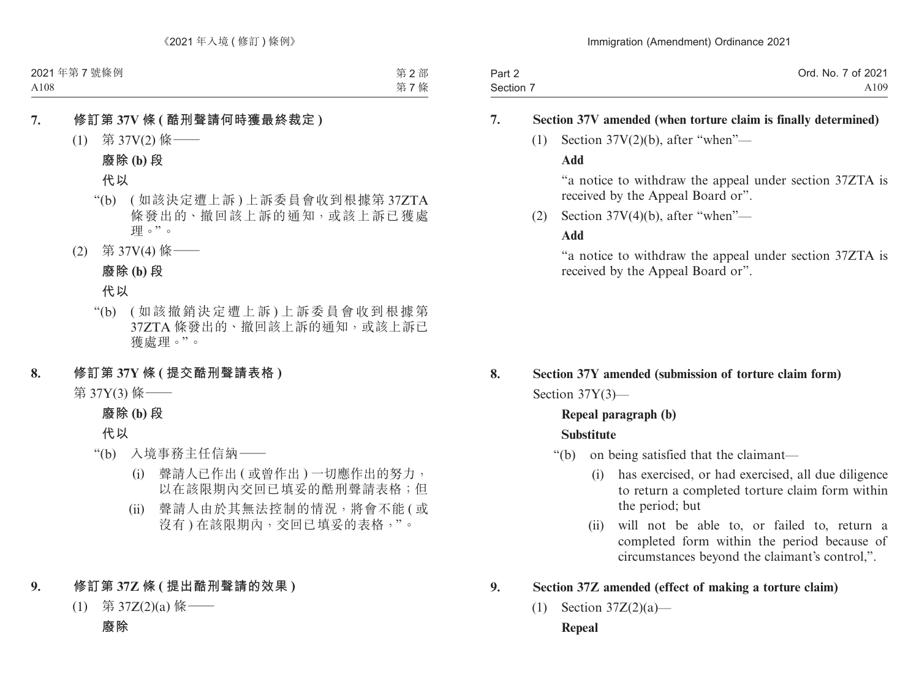| Part 2    | Ord. No. 7 of 2021 |
|-----------|--------------------|
| Section 7 | A109               |

### **7. Section 37V amended (when torture claim is finally determined)**

(1) Section  $37V(2)(b)$ , after "when"—

### **Add**

"a notice to withdraw the appeal under section 37ZTA is received by the Appeal Board or".

(2) Section  $37V(4)(b)$ , after "when"—

### **Add**

"a notice to withdraw the appeal under section 37ZTA is received by the Appeal Board or".

# **8. Section 37Y amended (submission of torture claim form)** Section 37Y(3)—

# **Repeal paragraph (b)**

# **Substitute**

- "(b) on being satisfied that the claimant—
	- (i) has exercised, or had exercised, all due diligence to return a completed torture claim form within the period; but
	- (ii) will not be able to, or failed to, return a completed form within the period because of circumstances beyond the claimant's control,".

# **9. Section 37Z amended (effect of making a torture claim)**

 $(1)$  Section 37Z $(2)(a)$ —

# **Repeal**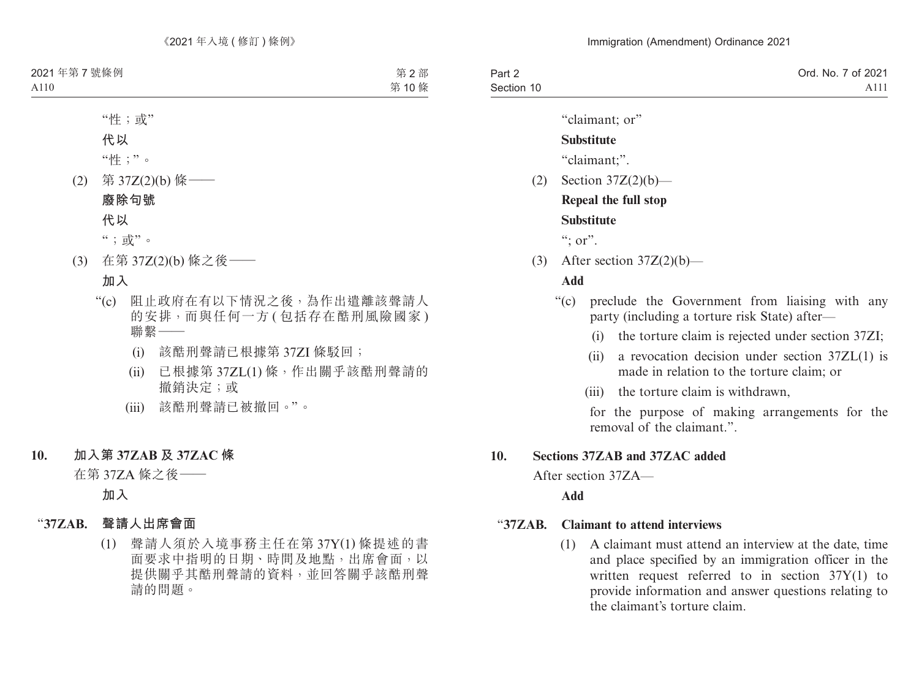| Part 2     | Ord. No. 7 of 2021 |
|------------|--------------------|
| Section 10 | A <sub>111</sub>   |

"claimant; or"

### **Substitute**

"claimant;".

(2) Section 37Z(2)(b)—

**Repeal the full stop**

# **Substitute**

":  $or$ ".

(3) After section  $37Z(2)(b)$ —

# **Add**

- "(c) preclude the Government from liaising with any party (including a torture risk State) after—
	- (i) the torture claim is rejected under section 37ZI;
	- (ii) a revocation decision under section  $37ZL(1)$  is made in relation to the torture claim; or
	- (iii) the torture claim is withdrawn,

for the purpose of making arrangements for the removal of the claimant."

# **10. Sections 37ZAB and 37ZAC added**

After section 37ZA—

**Add**

# "**37ZAB. Claimant to attend interviews**

(1) A claimant must attend an interview at the date, time and place specified by an immigration officer in the written request referred to in section 37Y(1) to provide information and answer questions relating to the claimant's torture claim.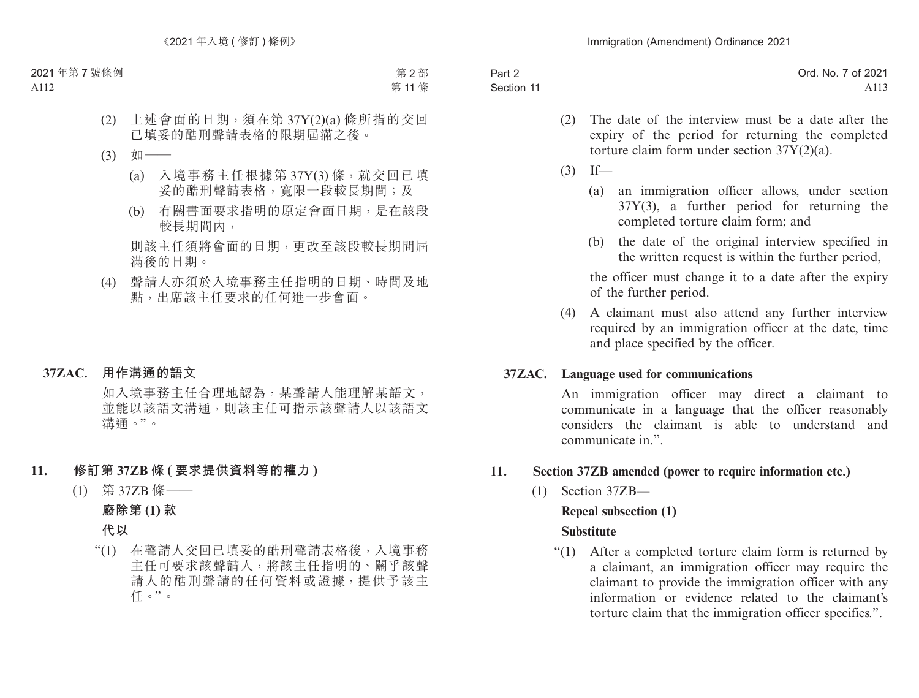| Part 2     | Ord. No. 7 of 2021 |
|------------|--------------------|
| Section 11 | A <sub>113</sub>   |

- (2) The date of the interview must be a date after the expiry of the period for returning the completed torture claim form under section 37Y(2)(a).
- $(3)$  If—
	- (a) an immigration officer allows, under section 37Y(3), a further period for returning the completed torture claim form; and
	- (b) the date of the original interview specified in the written request is within the further period,

the officer must change it to a date after the expiry of the further period.

(4) A claimant must also attend any further interview required by an immigration officer at the date, time and place specified by the officer.

# **37ZAC. Language used for communications**

An immigration officer may direct a claimant to communicate in a language that the officer reasonably considers the claimant is able to understand and communicate in.".

### **11. Section 37ZB amended (power to require information etc.)**

(1) Section 37ZB—

# **Repeal subsection (1)**

# **Substitute**

"(1) After a completed torture claim form is returned by a claimant, an immigration officer may require the claimant to provide the immigration officer with any information or evidence related to the claimant's torture claim that the immigration officer specifies.".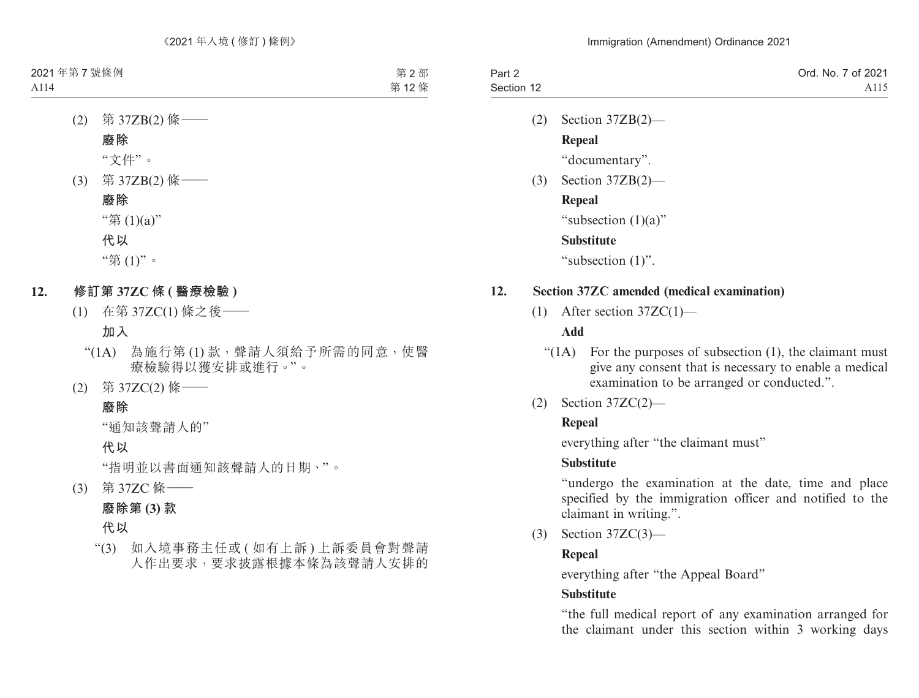| Part 2     | Ord. No. 7 of 2021 |
|------------|--------------------|
| Section 12 | A115               |

- (2) Section 37ZB(2)— **Repeal** "documentary".
- (3) Section 37ZB(2)—

### **Repeal**

"subsection (1)(a)"

# **Substitute**

"subsection (1)".

### **12. Section 37ZC amended (medical examination)**

(1) After section 37ZC(1)—

# **Add**

- " $(1)$  For the purposes of subsection  $(1)$ , the claimant must give any consent that is necessary to enable a medical examination to be arranged or conducted.".
- (2) Section 37ZC(2)—

# **Repeal**

everything after "the claimant must"

# **Substitute**

"undergo the examination at the date, time and place specified by the immigration officer and notified to the claimant in writing.".

(3) Section 37ZC(3)—

# **Repeal**

everything after "the Appeal Board"

# **Substitute**

"the full medical report of any examination arranged for the claimant under this section within 3 working days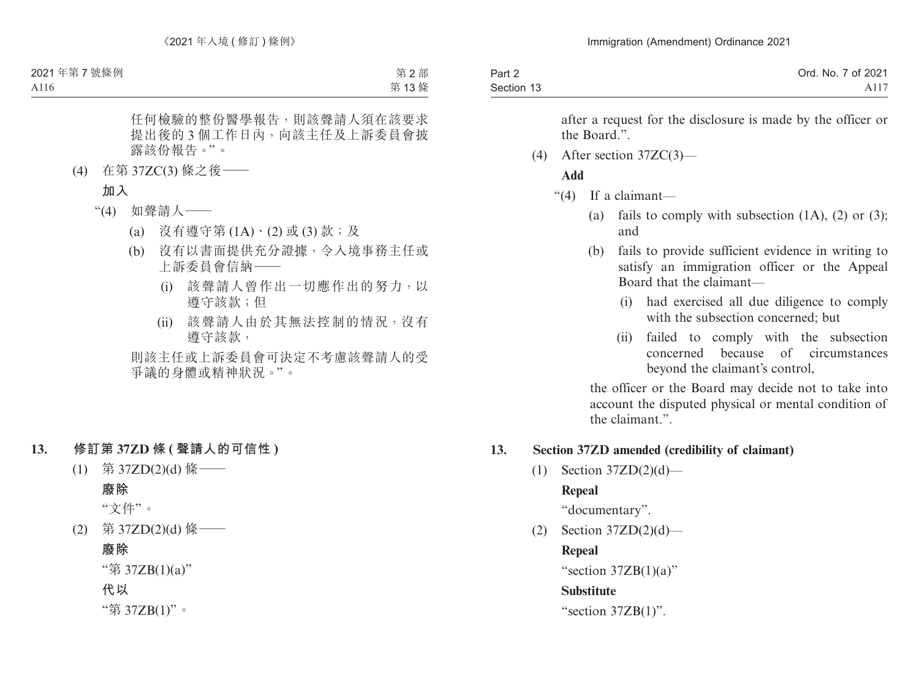| Part 2     | Ord. No. 7 of 2021 |
|------------|--------------------|
| Section 13 | A117               |

after a request for the disclosure is made by the officer or the Board."

(4) After section 37ZC(3)—

### **Add**

- "(4) If a claimant—
	- (a) fails to comply with subsection  $(1A)$ ,  $(2)$  or  $(3)$ ; and
	- (b) fails to provide sufficient evidence in writing to satisfy an immigration officer or the Appeal Board that the claimant—
		- (i) had exercised all due diligence to comply with the subsection concerned; but
		- (ii) failed to comply with the subsection concerned because of circumstances beyond the claimant's control,

the officer or the Board may decide not to take into account the disputed physical or mental condition of the claimant.".

### **13. Section 37ZD amended (credibility of claimant)**

 $(1)$  Section 37ZD $(2)(d)$ —

# **Repeal**

"documentary".

 $(2)$  Section 37ZD $(2)(d)$ —

# **Repeal**

"section  $37ZB(1)(a)$ "

# **Substitute**

"section 37ZB(1)".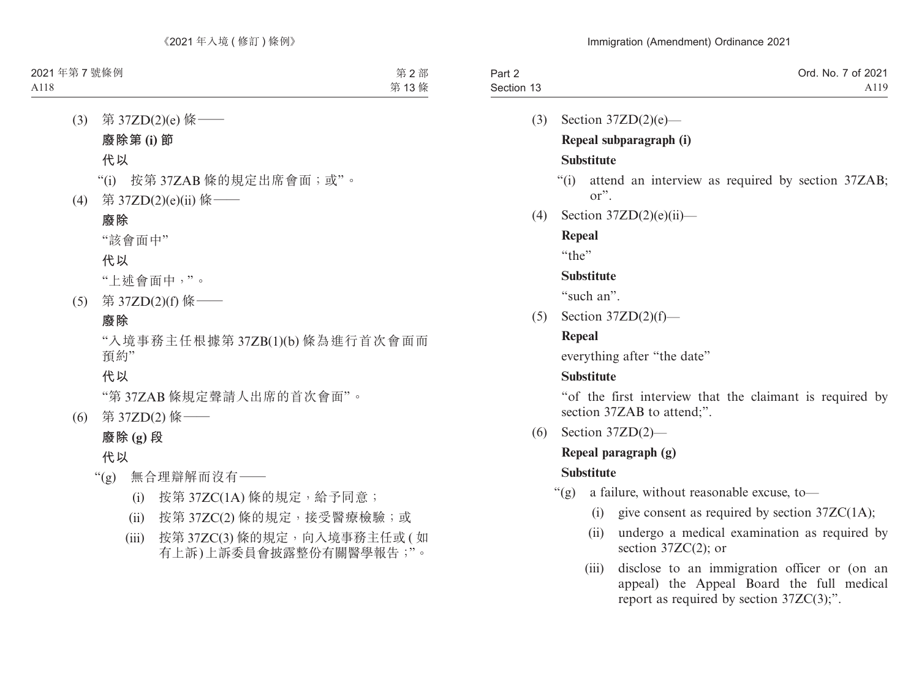| Part 2     | Ord. No. 7 of 2021 |
|------------|--------------------|
| Section 13 | A119               |

- (3) Section 37ZD(2)(e)— **Repeal subparagraph (i) Substitute**
	- "(i) attend an interview as required by section 37ZAB; or".
- (4) Section 37ZD(2)(e)(ii)—

**Repeal**

 $``the"$ 

# **Substitute**

"such an".

 $(5)$  Section 37ZD $(2)(f)$ —

# **Repeal**

everything after "the date"

# **Substitute**

"of the first interview that the claimant is required by section 37ZAB to attend;".

(6) Section 37ZD(2)—

# **Repeal paragraph (g)**

# **Substitute**

- "(g) a failure, without reasonable excuse, to—
	- (i) give consent as required by section  $37ZC(1A)$ ;
	- (ii) undergo a medical examination as required by section 37ZC(2); or
	- (iii) disclose to an immigration officer or (on an appeal) the Appeal Board the full medical report as required by section 37ZC(3);".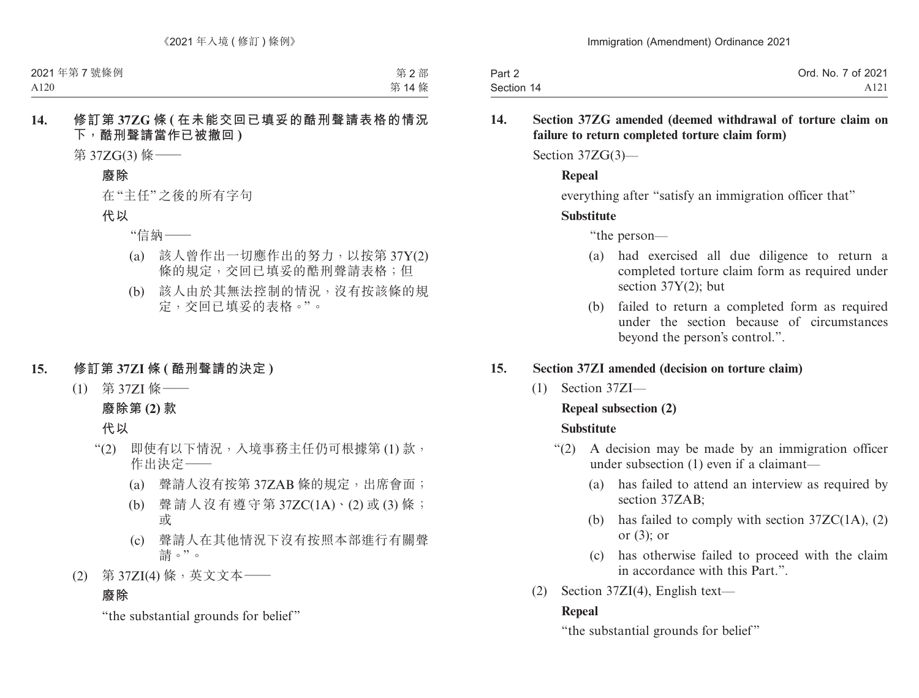| Part 2     | Ord. No. 7 of 2021 |
|------------|--------------------|
| Section 14 | A <sub>121</sub>   |

### **14. Section 37ZG amended (deemed withdrawal of torture claim on failure to return completed torture claim form)**

Section 37ZG(3)—

### **Repeal**

everything after "satisfy an immigration officer that"

# **Substitute**

"the person—

- (a) had exercised all due diligence to return a completed torture claim form as required under section 37Y(2); but
- (b) failed to return a completed form as required under the section because of circumstances beyond the person's control.".

# **15. Section 37ZI amended (decision on torture claim)**

(1) Section 37ZI—

# **Repeal subsection (2)**

# **Substitute**

- "(2) A decision may be made by an immigration officer under subsection (1) even if a claimant—
	- (a) has failed to attend an interview as required by section 37ZAB;
	- (b) has failed to comply with section  $37ZC(1A)$ , (2) or (3); or
	- (c) has otherwise failed to proceed with the claim in accordance with this Part.".
- (2) Section 37ZI(4), English text—

# **Repeal**

"the substantial grounds for belief"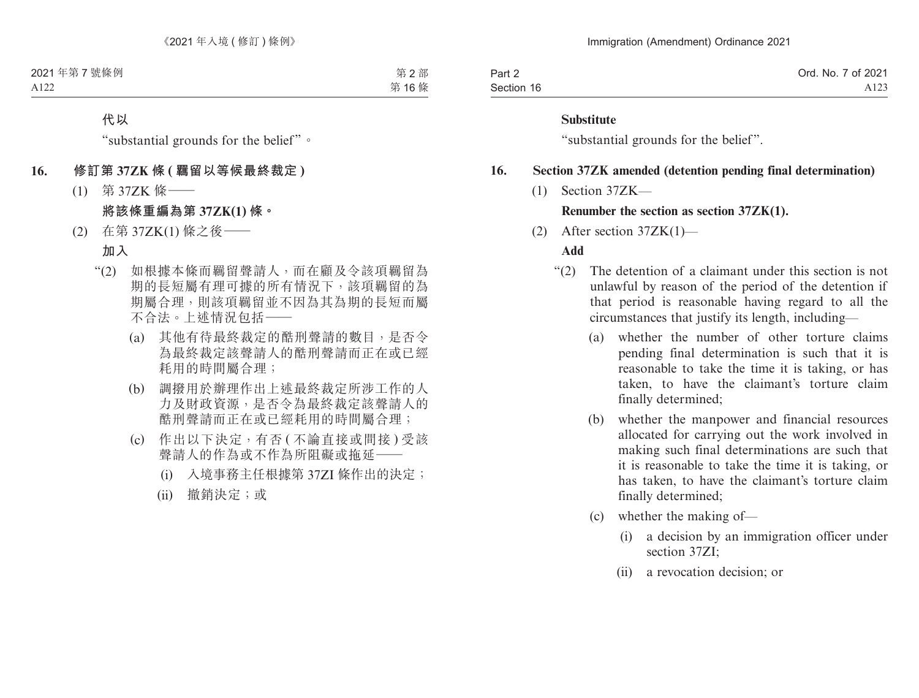| Part 2     | Ord. No. 7 of 2021 |
|------------|--------------------|
| Section 16 | A123               |

#### **Substitute**

"substantial grounds for the belief".

#### **16. Section 37ZK amended (detention pending final determination)**

(1) Section 37ZK—

#### **Renumber the section as section 37ZK(1).**

(2) After section 37ZK(1)—

#### **Add**

- "(2) The detention of a claimant under this section is not unlawful by reason of the period of the detention if that period is reasonable having regard to all the circumstances that justify its length, including—
	- (a) whether the number of other torture claims pending final determination is such that it is reasonable to take the time it is taking, or has taken, to have the claimant's torture claim finally determined;
	- (b) whether the manpower and financial resources allocated for carrying out the work involved in making such final determinations are such that it is reasonable to take the time it is taking, or has taken, to have the claimant's torture claim finally determined;
	- (c) whether the making of—
		- (i) a decision by an immigration officer under section 37ZI<sup>,</sup>
		- (ii) a revocation decision; or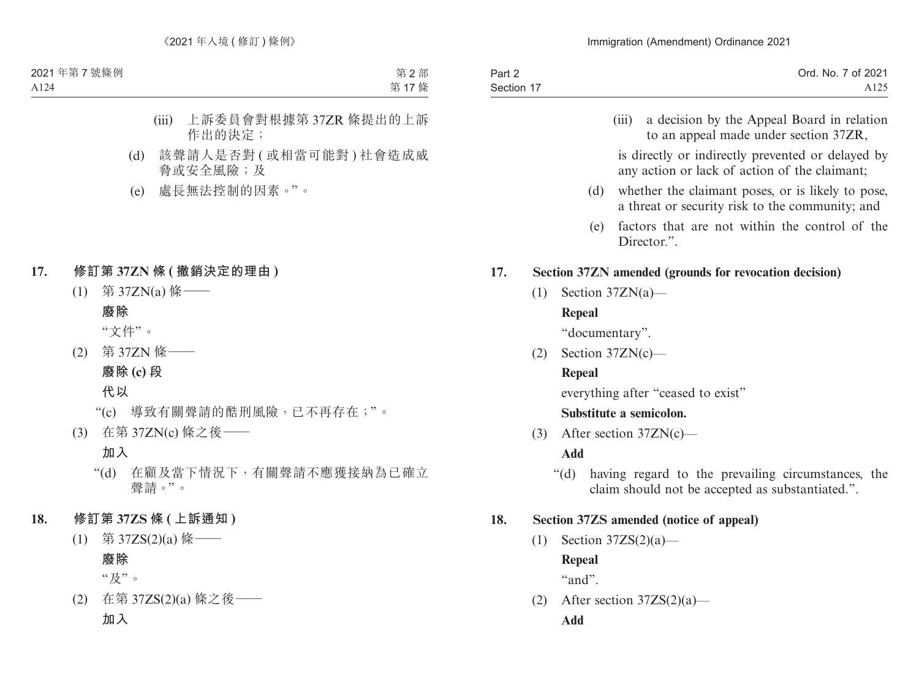| Part 2     | Ord. No. 7 of 2021 |
|------------|--------------------|
| Section 17 | A <sub>125</sub>   |

(iii) a decision by the Appeal Board in relation to an appeal made under section 37ZR,

is directly or indirectly prevented or delayed by any action or lack of action of the claimant;

- (d) whether the claimant poses, or is likely to pose, a threat or security risk to the community; and
- (e) factors that are not within the control of the Director."

### **17. Section 37ZN amended (grounds for revocation decision)**

 $(1)$  Section 37ZN(a)—

# **Repeal**

"documentary".

(2) Section 37ZN(c)—

# **Repeal**

everything after "ceased to exist"

# **Substitute a semicolon.**

(3) After section 37ZN(c)—

# **Add**

"(d) having regard to the prevailing circumstances, the claim should not be accepted as substantiated.".

# **18. Section 37ZS amended (notice of appeal)**

 $(1)$  Section 37ZS $(2)(a)$ —

**Repeal**

 $``and"$ 

(2) After section  $37ZS(2)(a)$ — **Add**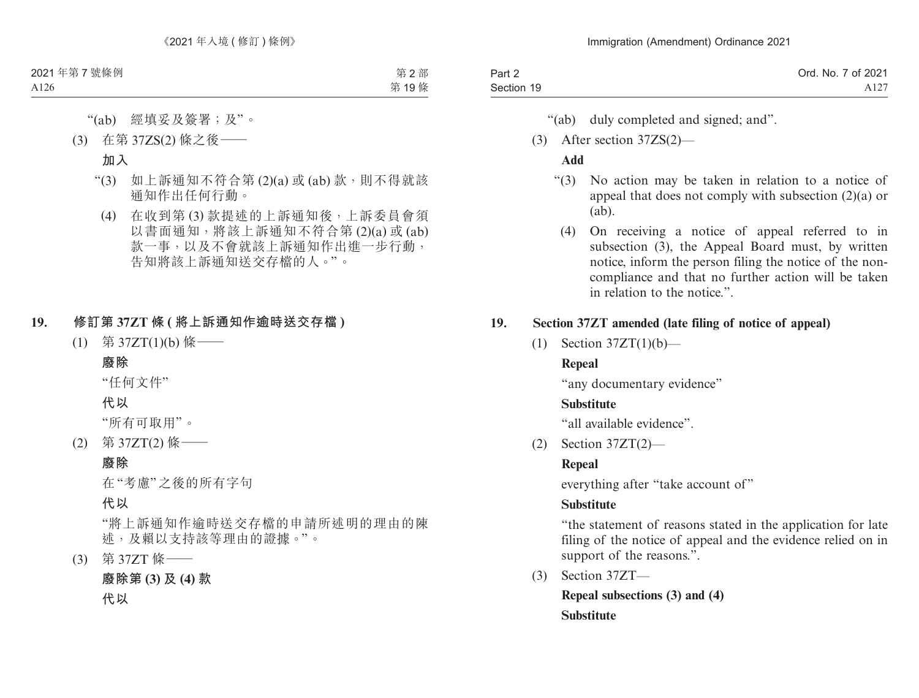| Part 2     | Ord. No. 7 of 2021 |
|------------|--------------------|
| Section 19 | A127               |

- "(ab) duly completed and signed; and".
- (3) After section 37ZS(2)—

# **Add**

- "(3) No action may be taken in relation to a notice of appeal that does not comply with subsection (2)(a) or (ab).
	- (4) On receiving a notice of appeal referred to in subsection (3), the Appeal Board must, by written notice, inform the person filing the notice of the noncompliance and that no further action will be taken in relation to the notice.".

# **19. Section 37ZT amended (late filing of notice of appeal)**

 $(1)$  Section 37ZT $(1)(b)$ —

# **Repeal**

"any documentary evidence"

# **Substitute**

"all available evidence".

(2) Section 37ZT(2)—

# **Repeal**

everything after "take account of"

# **Substitute**

"the statement of reasons stated in the application for late filing of the notice of appeal and the evidence relied on in support of the reasons.".

(3) Section 37ZT—

**Repeal subsections (3) and (4) Substitute**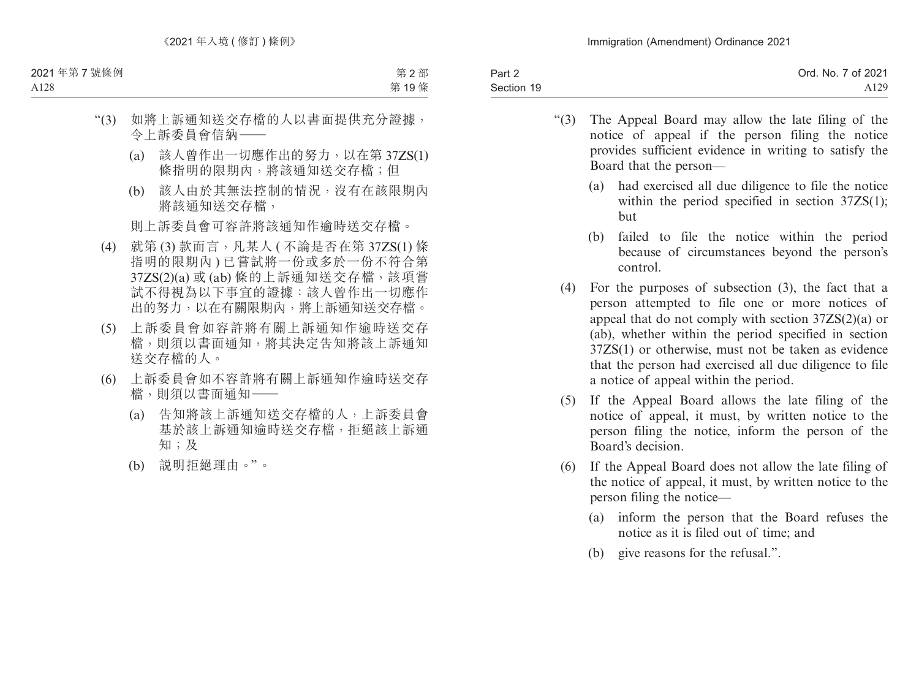| Part 2     | Ord. No. 7 of 2021 |
|------------|--------------------|
| Section 19 | A <sub>129</sub>   |

- "(3) The Appeal Board may allow the late filing of the notice of appeal if the person filing the notice provides sufficient evidence in writing to satisfy the Board that the person—
	- (a) had exercised all due diligence to file the notice within the period specified in section  $37ZS(1)$ ; but
	- (b) failed to file the notice within the period because of circumstances beyond the person's control.
	- (4) For the purposes of subsection (3), the fact that a person attempted to file one or more notices of appeal that do not comply with section 37ZS(2)(a) or (ab), whether within the period specified in section 37ZS(1) or otherwise, must not be taken as evidence that the person had exercised all due diligence to file a notice of appeal within the period.
	- (5) If the Appeal Board allows the late filing of the notice of appeal, it must, by written notice to the person filing the notice, inform the person of the Board's decision.
	- (6) If the Appeal Board does not allow the late filing of the notice of appeal, it must, by written notice to the person filing the notice—
		- (a) inform the person that the Board refuses the notice as it is filed out of time; and
		- (b) give reasons for the refusal.".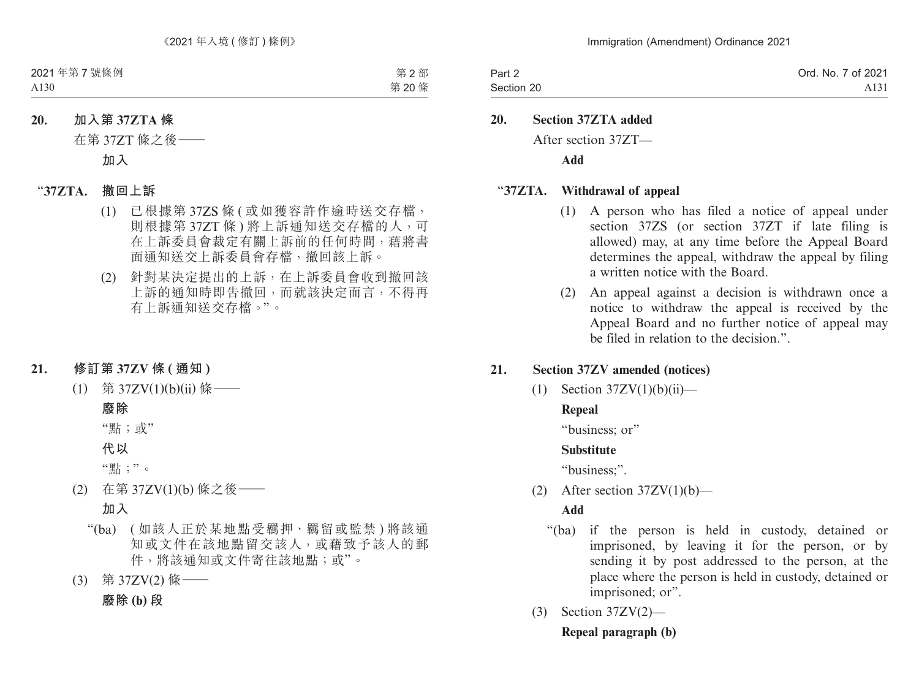| Part 2     | Ord. No. 7 of 2021 |
|------------|--------------------|
| Section 20 | A <sub>131</sub>   |

**20. Section 37ZTA added**

After section 37ZT—

**Add**

### "**37ZTA. Withdrawal of appeal**

- (1) A person who has filed a notice of appeal under section 37ZS (or section 37ZT if late filing is allowed) may, at any time before the Appeal Board determines the appeal, withdraw the appeal by filing a written notice with the Board.
- (2) An appeal against a decision is withdrawn once a notice to withdraw the appeal is received by the Appeal Board and no further notice of appeal may be filed in relation to the decision.".

### **21. Section 37ZV amended (notices)**

(1) Section  $37ZV(1)(b)(ii)$ —

# **Repeal**

"business: or"

#### **Substitute**

"business;".

(2) After section  $37ZV(1)(b)$ —

### **Add**

- "(ba) if the person is held in custody, detained or imprisoned, by leaving it for the person, or by sending it by post addressed to the person, at the place where the person is held in custody, detained or imprisoned; or".
- (3) Section 37ZV(2)—

**Repeal paragraph (b)**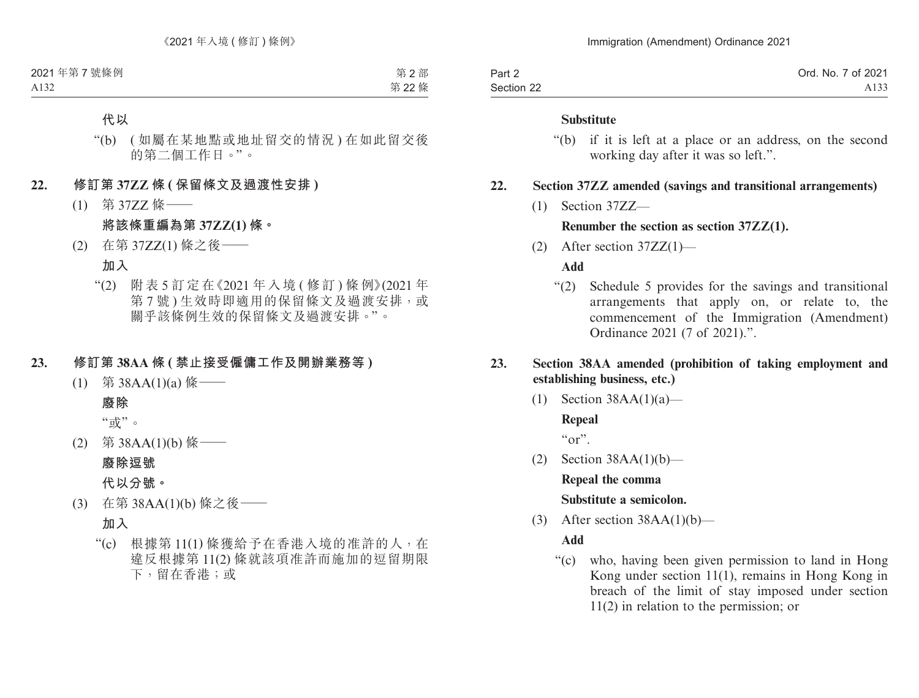| Part 2     | Ord. No. 7 of 2021 |
|------------|--------------------|
| Section 22 | A133               |

#### **Substitute**

"(b) if it is left at a place or an address, on the second working day after it was so left.".

### **22. Section 37ZZ amended (savings and transitional arrangements)**

(1) Section 37ZZ—

### **Renumber the section as section 37ZZ(1).**

(2) After section 37ZZ(1)—

**Add**

"(2) Schedule 5 provides for the savings and transitional arrangements that apply on, or relate to, the commencement of the Immigration (Amendment) Ordinance 2021 (7 of 2021).".

### **23. Section 38AA amended (prohibition of taking employment and establishing business, etc.)**

(1) Section  $38AA(1)(a)$ —

**Repeal**  $\alpha_{\rm O}$ ".

(2) Section 38AA(1)(b)—

**Repeal the comma Substitute a semicolon.**

(3) After section  $38AA(1)(b)$ —

**Add**

"(c) who, having been given permission to land in Hong Kong under section 11(1), remains in Hong Kong in breach of the limit of stay imposed under section 11(2) in relation to the permission; or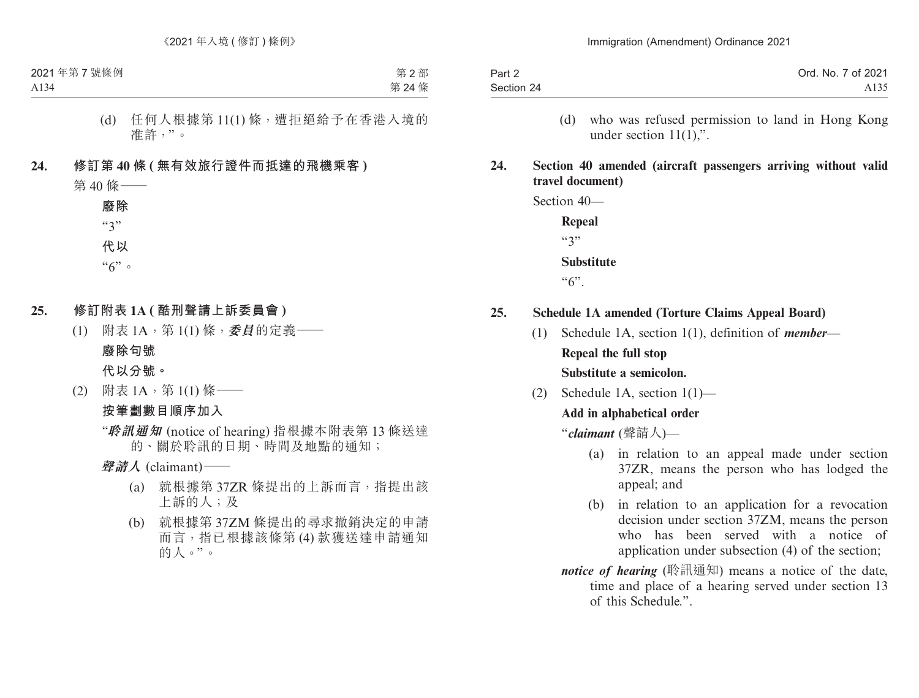| Part 2     | Ord. No. 7 of 2021 |
|------------|--------------------|
| Section 24 | A <sub>135</sub>   |

(d) who was refused permission to land in Hong Kong under section 11(1),".

## **24. Section 40 amended (aircraft passengers arriving without valid travel document)**

Section 40—

**Repeal**  $(3)$ **Substitute**  $``6"$ .

- **25. Schedule 1A amended (Torture Claims Appeal Board)**
	- (1) Schedule 1A, section 1(1), definition of *member*—

**Repeal the full stop**

**Substitute a semicolon.**

(2) Schedule 1A, section 1(1)—

#### **Add in alphabetical order**

"*claimant* (聲請人)—

- (a) in relation to an appeal made under section 37ZR, means the person who has lodged the appeal; and
- (b) in relation to an application for a revocation decision under section 37ZM, means the person who has been served with a notice of application under subsection (4) of the section;
- *notice of hearing* (聆訊通知) means a notice of the date, time and place of a hearing served under section 13 of this Schedule.".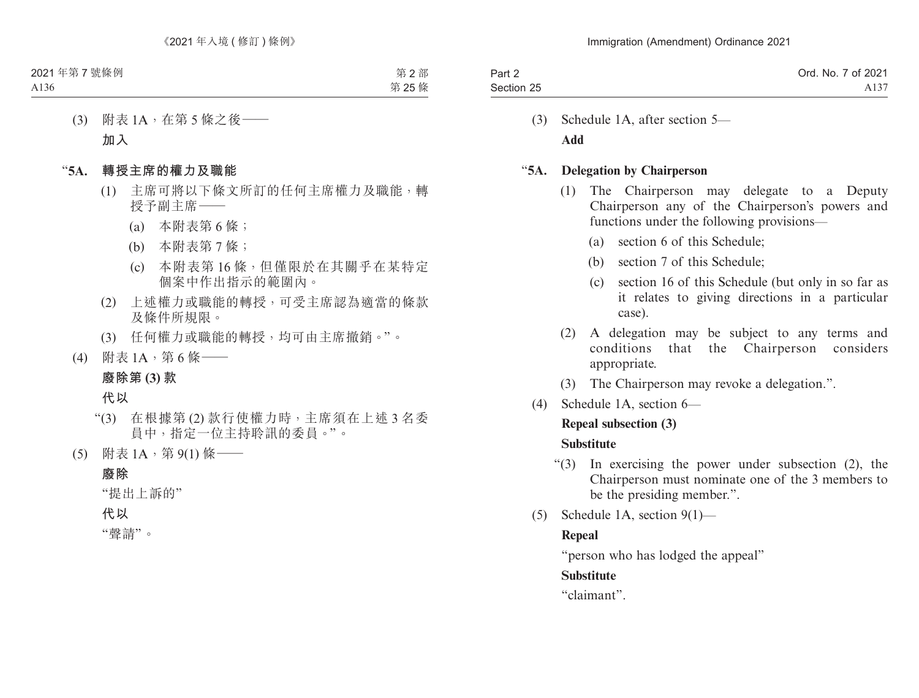| Part 2     | Ord. No. 7 of 2021 |
|------------|--------------------|
| Section 25 | A137               |

(3) Schedule 1A, after section 5— **Add**

### "**5A. Delegation by Chairperson**

- (1) The Chairperson may delegate to a Deputy Chairperson any of the Chairperson's powers and functions under the following provisions—
	- (a) section 6 of this Schedule;
	- (b) section 7 of this Schedule;
	- (c) section 16 of this Schedule (but only in so far as it relates to giving directions in a particular case).
- (2) A delegation may be subject to any terms and conditions that the Chairperson considers appropriate.
- (3) The Chairperson may revoke a delegation.".
- (4) Schedule 1A, section 6—

### **Repeal subsection (3)**

# **Substitute**

- "(3) In exercising the power under subsection (2), the Chairperson must nominate one of the 3 members to be the presiding member.".
- (5) Schedule 1A, section 9(1)—

# **Repeal**

"person who has lodged the appeal"

# **Substitute**

"claimant".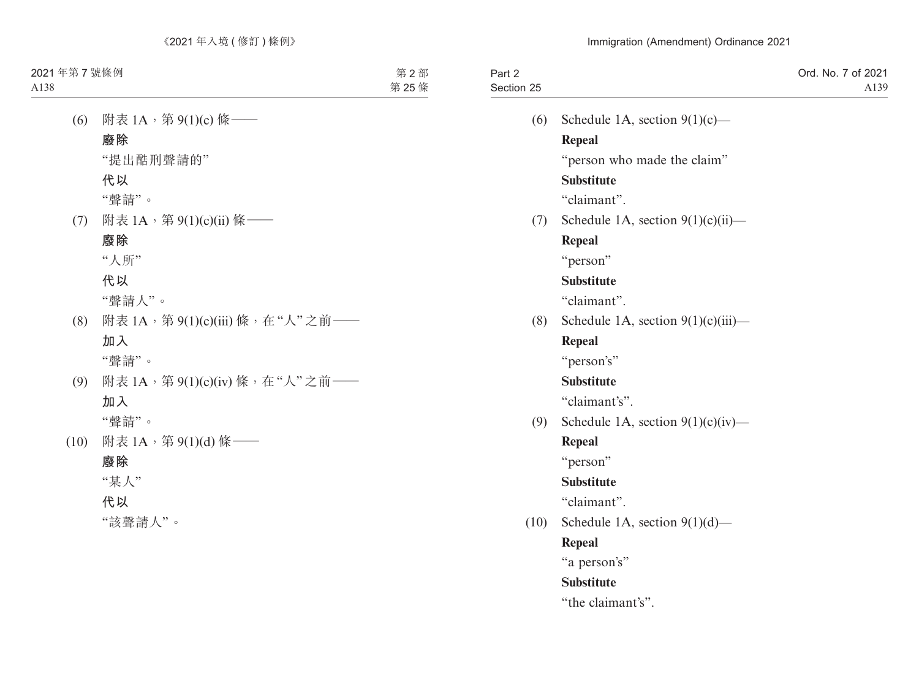| Part 2<br>Section 25 |                                       | Ord. No. 7 of 2021<br>A139 |
|----------------------|---------------------------------------|----------------------------|
| (6)                  | Schedule 1A, section $9(1)(c)$ —      |                            |
|                      | <b>Repeal</b>                         |                            |
|                      | "person who made the claim"           |                            |
|                      | <b>Substitute</b>                     |                            |
|                      | "claimant".                           |                            |
| (7)                  | Schedule 1A, section $9(1)(c)(ii)$ —  |                            |
|                      | <b>Repeal</b>                         |                            |
|                      | "person"                              |                            |
|                      | <b>Substitute</b>                     |                            |
|                      | "claimant".                           |                            |
| (8)                  | Schedule 1A, section $9(1)(c)(iii)$ — |                            |
|                      | <b>Repeal</b>                         |                            |
|                      | "person's"                            |                            |
|                      | <b>Substitute</b>                     |                            |
|                      | "claimant's".                         |                            |
| (9)                  | Schedule 1A, section $9(1)(c)(iv)$ —  |                            |
|                      | <b>Repeal</b>                         |                            |
|                      | "person"                              |                            |
|                      | <b>Substitute</b>                     |                            |
|                      | "claimant".                           |                            |
| (10)                 | Schedule 1A, section $9(1)(d)$ —      |                            |
|                      | <b>Repeal</b>                         |                            |
|                      | "a person's"                          |                            |
|                      | <b>Substitute</b>                     |                            |
|                      | "the claimant's".                     |                            |
|                      |                                       |                            |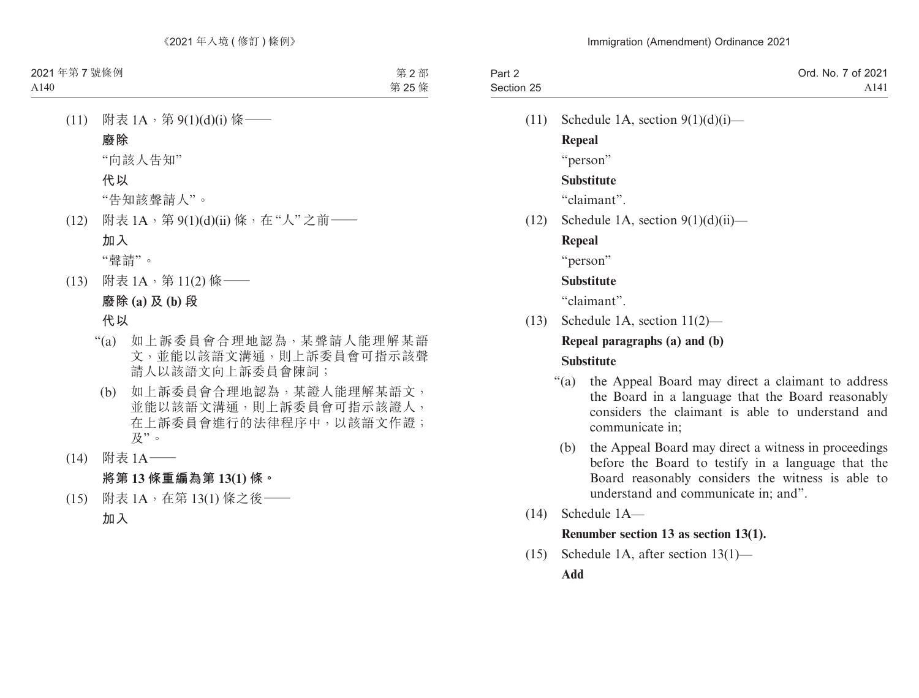| Part 2     | Ord. No. 7 of 2021 |
|------------|--------------------|
| Section 25 | A <sub>141</sub>   |
|            |                    |

(11) Schedule 1A, section  $9(1)(d)(i)$ —

**Repeal**

"person"

# **Substitute**

"claimant".

 $(12)$  Schedule 1A, section  $9(1)(d)(ii)$ —

# **Repeal**

"person"

# **Substitute**

"claimant".

(13) Schedule 1A, section 11(2)—

# **Repeal paragraphs (a) and (b) Substitute**

- "(a) the Appeal Board may direct a claimant to address the Board in a language that the Board reasonably considers the claimant is able to understand and communicate in;
- (b) the Appeal Board may direct a witness in proceedings before the Board to testify in a language that the Board reasonably considers the witness is able to understand and communicate in; and".
- (14) Schedule 1A—

# **Renumber section 13 as section 13(1).**

(15) Schedule 1A, after section 13(1)— **Add**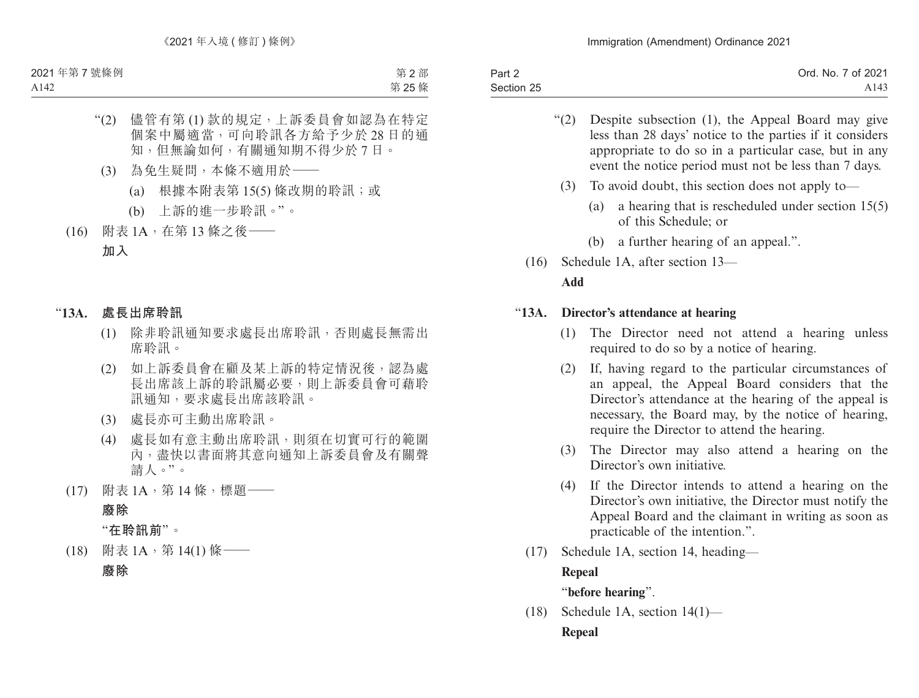| Part 2     | Ord. No. 7 of 2021 |
|------------|--------------------|
| Section 25 | A143               |

- "(2) Despite subsection (1), the Appeal Board may give less than 28 days' notice to the parties if it considers appropriate to do so in a particular case, but in any event the notice period must not be less than 7 days.
- (3) To avoid doubt, this section does not apply to—
	- (a) a hearing that is rescheduled under section 15(5) of this Schedule; or
	- (b) a further hearing of an appeal.".
- (16) Schedule 1A, after section 13— **Add**

### "**13A. Director's attendance at hearing**

- (1) The Director need not attend a hearing unless required to do so by a notice of hearing.
- (2) If, having regard to the particular circumstances of an appeal, the Appeal Board considers that the Director's attendance at the hearing of the appeal is necessary, the Board may, by the notice of hearing, require the Director to attend the hearing.
- (3) The Director may also attend a hearing on the Director's own initiative.
- (4) If the Director intends to attend a hearing on the Director's own initiative, the Director must notify the Appeal Board and the claimant in writing as soon as practicable of the intention.".
- (17) Schedule 1A, section 14, heading—

### **Repeal**

"**before hearing**".

(18) Schedule 1A, section 14(1)— **Repeal**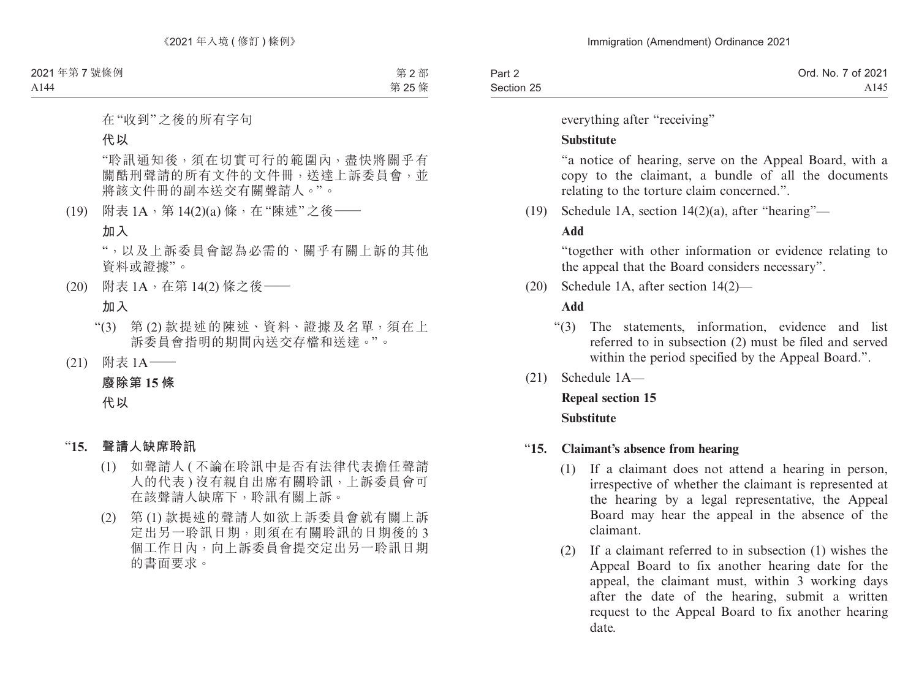| Part 2     | Ord. No. 7 of 2021 |
|------------|--------------------|
| Section 25 | A145               |

everything after "receiving"

### **Substitute**

"a notice of hearing, serve on the Appeal Board, with a copy to the claimant, a bundle of all the documents relating to the torture claim concerned.".

(19) Schedule 1A, section 14(2)(a), after "hearing"—

### **Add**

"together with other information or evidence relating to the appeal that the Board considers necessary".

(20) Schedule 1A, after section 14(2)—

# **Add**

- "(3) The statements, information, evidence and list referred to in subsection (2) must be filed and served within the period specified by the Appeal Board.".
- (21) Schedule 1A—

**Repeal section 15 Substitute**

### "**15. Claimant's absence from hearing**

- (1) If a claimant does not attend a hearing in person, irrespective of whether the claimant is represented at the hearing by a legal representative, the Appeal Board may hear the appeal in the absence of the claimant.
- (2) If a claimant referred to in subsection (1) wishes the Appeal Board to fix another hearing date for the appeal, the claimant must, within 3 working days after the date of the hearing, submit a written request to the Appeal Board to fix another hearing date.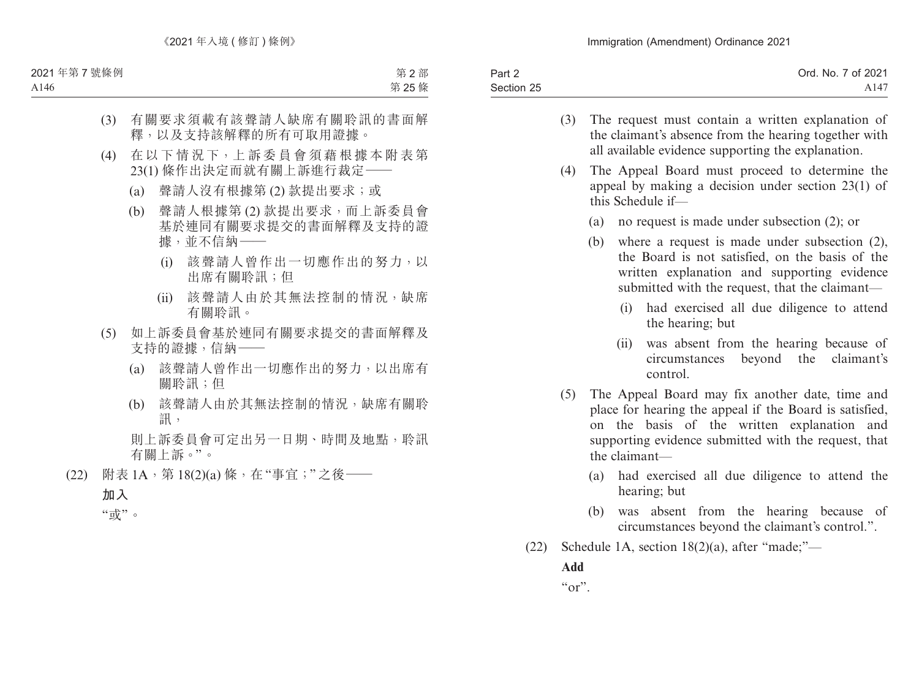| Part 2     | Ord. No. 7 of 2021 |
|------------|--------------------|
| Section 25 | A147               |

- (3) The request must contain a written explanation of the claimant's absence from the hearing together with all available evidence supporting the explanation.
- (4) The Appeal Board must proceed to determine the appeal by making a decision under section 23(1) of this Schedule if—
	- (a) no request is made under subsection (2); or
	- (b) where a request is made under subsection (2), the Board is not satisfied, on the basis of the written explanation and supporting evidence submitted with the request, that the claimant—
		- (i) had exercised all due diligence to attend the hearing; but
		- (ii) was absent from the hearing because of circumstances beyond the claimant's control.
- (5) The Appeal Board may fix another date, time and place for hearing the appeal if the Board is satisfied, on the basis of the written explanation and supporting evidence submitted with the request, that the claimant—
	- (a) had exercised all due diligence to attend the hearing; but
	- (b) was absent from the hearing because of circumstances beyond the claimant's control.".
- (22) Schedule 1A, section 18(2)(a), after "made;"—

**Add**

 $``\text{or}"$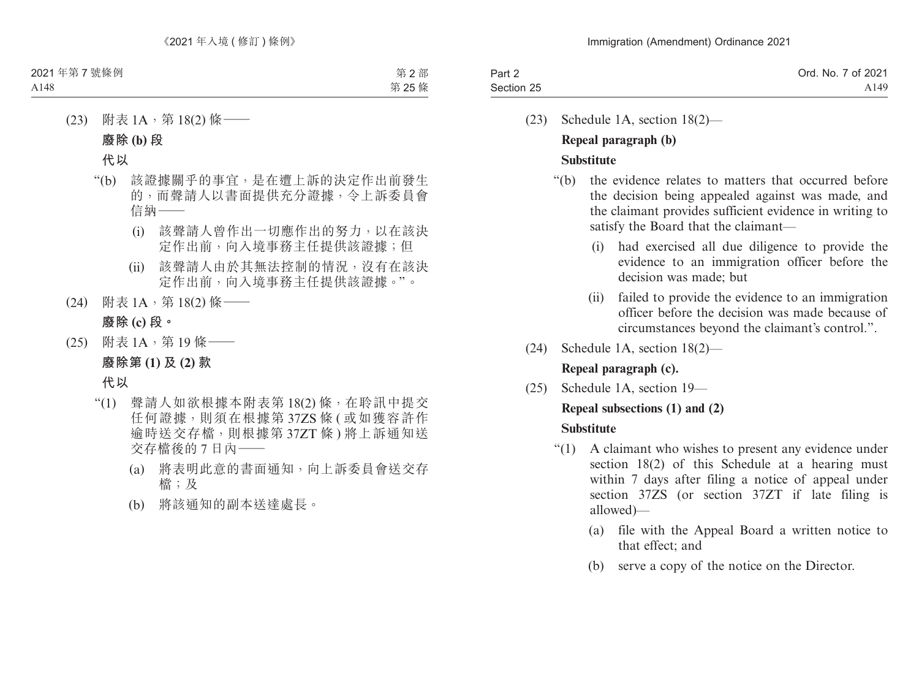| Part 2     | Ord. No. 7 of 2021 |
|------------|--------------------|
| Section 25 | A149               |

(23) Schedule 1A, section 18(2)— **Repeal paragraph (b)**

# **Substitute**

- "(b) the evidence relates to matters that occurred before the decision being appealed against was made, and the claimant provides sufficient evidence in writing to satisfy the Board that the claimant—
	- (i) had exercised all due diligence to provide the evidence to an immigration officer before the decision was made; but
	- (ii) failed to provide the evidence to an immigration officer before the decision was made because of circumstances beyond the claimant's control.".
- (24) Schedule 1A, section 18(2)— **Repeal paragraph (c).**
- (25) Schedule 1A, section 19—

# **Repeal subsections (1) and (2)**

# **Substitute**

- "(1) A claimant who wishes to present any evidence under section 18(2) of this Schedule at a hearing must within 7 days after filing a notice of appeal under section 37ZS (or section 37ZT if late filing is allowed)—
	- (a) file with the Appeal Board a written notice to that effect; and
	- (b) serve a copy of the notice on the Director.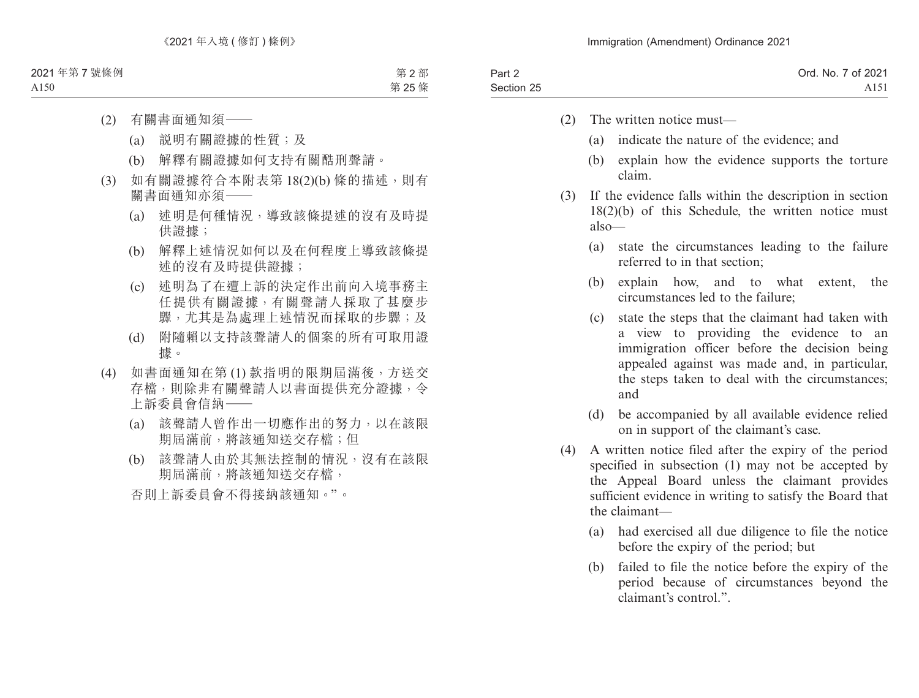- (2) The written notice must—
	- (a) indicate the nature of the evidence; and
	- (b) explain how the evidence supports the torture claim.
- (3) If the evidence falls within the description in section 18(2)(b) of this Schedule, the written notice must also—
	- (a) state the circumstances leading to the failure referred to in that section;
	- (b) explain how, and to what extent, the circumstances led to the failure;
	- (c) state the steps that the claimant had taken with a view to providing the evidence to an immigration officer before the decision being appealed against was made and, in particular, the steps taken to deal with the circumstances; and
	- (d) be accompanied by all available evidence relied on in support of the claimant's case.
- (4) A written notice filed after the expiry of the period specified in subsection (1) may not be accepted by the Appeal Board unless the claimant provides sufficient evidence in writing to satisfy the Board that the claimant—
	- (a) had exercised all due diligence to file the notice before the expiry of the period; but
	- (b) failed to file the notice before the expiry of the period because of circumstances beyond the claimant's control.".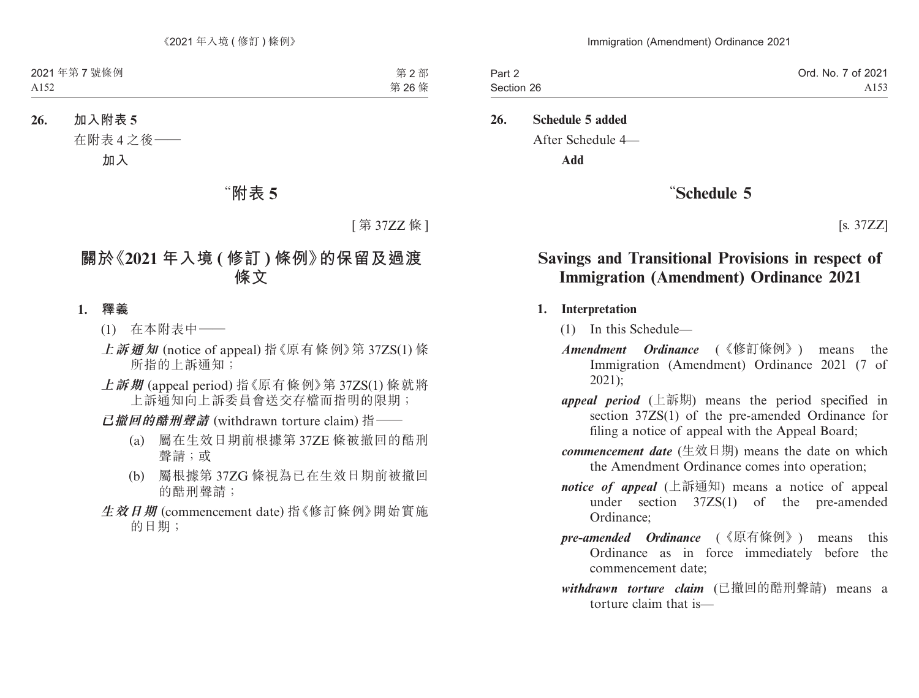| Part 2     | Ord. No. 7 of 2021 |
|------------|--------------------|
| Section 26 | A <sub>153</sub>   |

#### **26. Schedule 5 added**

After Schedule 4—

**Add**

# "**Schedule 5**

[s. 37ZZ]

# **Savings and Transitional Provisions in respect of Immigration (Amendment) Ordinance 2021**

#### **1. Interpretation**

- (1) In this Schedule—
- *Amendment Ordinance* (《修訂條例》) means the Immigration (Amendment) Ordinance 2021 (7 of 2021);
- *appeal period* (上訴期) means the period specified in section 37ZS(1) of the pre-amended Ordinance for filing a notice of appeal with the Appeal Board;
- *commencement date* (生效日期) means the date on which the Amendment Ordinance comes into operation;
- *notice of appeal* (上訴通知) means a notice of appeal under section 37ZS(1) of the pre-amended Ordinance;
- *pre-amended Ordinance* (《原有條例》) means this Ordinance as in force immediately before the commencement date;
- *withdrawn torture claim* (已撤回的酷刑聲請) means a torture claim that is—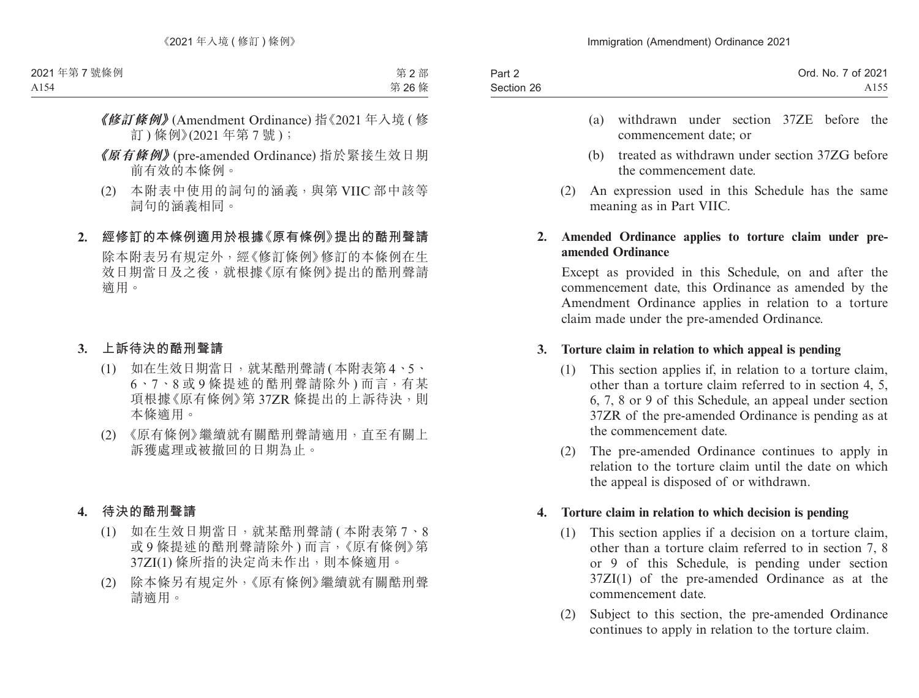| Part 2     | Ord. No. 7 of 2021 |
|------------|--------------------|
| Section 26 | A <sub>155</sub>   |
|            |                    |

- (a) withdrawn under section 37ZE before the commencement date; or
- (b) treated as withdrawn under section 37ZG before the commencement date.
- (2) An expression used in this Schedule has the same meaning as in Part VIIC.

### **2. Amended Ordinance applies to torture claim under preamended Ordinance**

Except as provided in this Schedule, on and after the commencement date, this Ordinance as amended by the Amendment Ordinance applies in relation to a torture claim made under the pre-amended Ordinance.

# **3. Torture claim in relation to which appeal is pending**

- (1) This section applies if, in relation to a torture claim, other than a torture claim referred to in section 4, 5, 6, 7, 8 or 9 of this Schedule, an appeal under section 37ZR of the pre-amended Ordinance is pending as at the commencement date.
- (2) The pre-amended Ordinance continues to apply in relation to the torture claim until the date on which the appeal is disposed of or withdrawn.

### **4. Torture claim in relation to which decision is pending**

- (1) This section applies if a decision on a torture claim, other than a torture claim referred to in section 7, 8 or 9 of this Schedule, is pending under section 37ZI(1) of the pre-amended Ordinance as at the commencement date.
- (2) Subject to this section, the pre-amended Ordinance continues to apply in relation to the torture claim.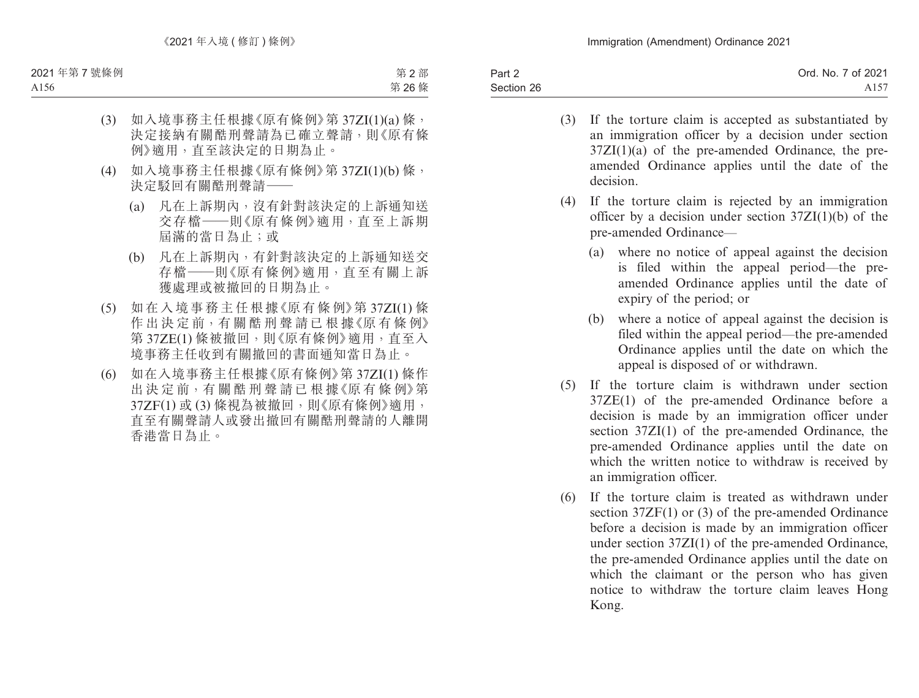Part 2 Section 26 Ord. No. 7 of 2021 A157

- (3) If the torture claim is accepted as substantiated by an immigration officer by a decision under section  $37ZI(1)(a)$  of the pre-amended Ordinance, the preamended Ordinance applies until the date of the decision.
- (4) If the torture claim is rejected by an immigration officer by a decision under section 37ZI(1)(b) of the pre-amended Ordinance—
	- (a) where no notice of appeal against the decision is filed within the appeal period—the preamended Ordinance applies until the date of expiry of the period; or
	- (b) where a notice of appeal against the decision is filed within the appeal period—the pre-amended Ordinance applies until the date on which the appeal is disposed of or withdrawn.
- (5) If the torture claim is withdrawn under section 37ZE(1) of the pre-amended Ordinance before a decision is made by an immigration officer under section 37ZI(1) of the pre-amended Ordinance, the pre-amended Ordinance applies until the date on which the written notice to withdraw is received by an immigration officer.
- (6) If the torture claim is treated as withdrawn under section 37ZF(1) or (3) of the pre-amended Ordinance before a decision is made by an immigration officer under section 37ZI(1) of the pre-amended Ordinance, the pre-amended Ordinance applies until the date on which the claimant or the person who has given notice to withdraw the torture claim leaves Hong Kong.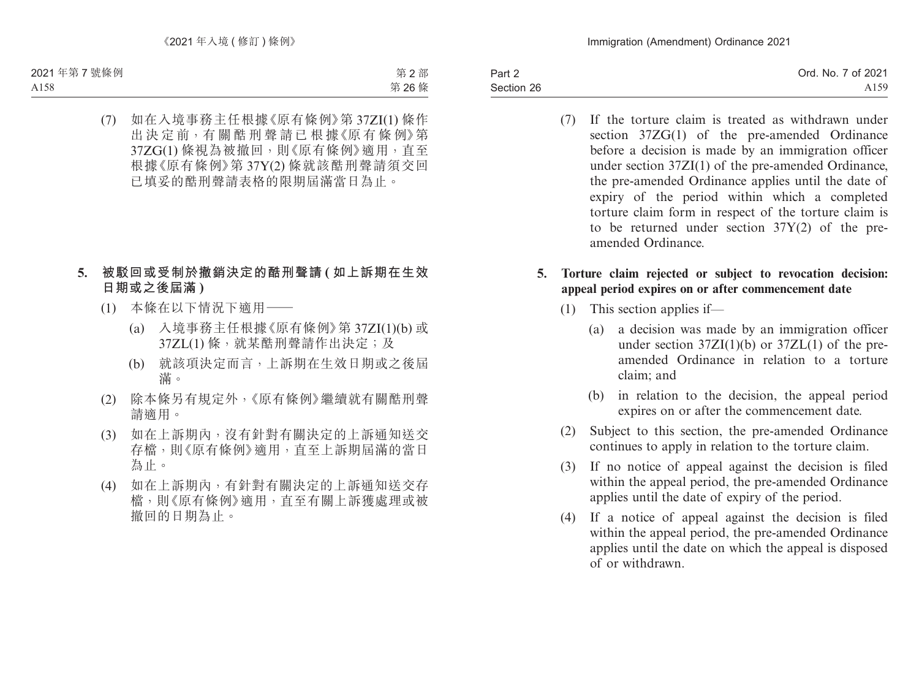Part 2 Section 26

(7) If the torture claim is treated as withdrawn under section 37ZG(1) of the pre-amended Ordinance before a decision is made by an immigration officer under section 37ZI(1) of the pre-amended Ordinance, the pre-amended Ordinance applies until the date of expiry of the period within which a completed torture claim form in respect of the torture claim is to be returned under section 37Y(2) of the preamended Ordinance.

## **5. Torture claim rejected or subject to revocation decision: appeal period expires on or after commencement date**

- (1) This section applies if—
	- (a) a decision was made by an immigration officer under section  $37ZI(1)(b)$  or  $37ZL(1)$  of the preamended Ordinance in relation to a torture claim; and
	- (b) in relation to the decision, the appeal period expires on or after the commencement date.
- (2) Subject to this section, the pre-amended Ordinance continues to apply in relation to the torture claim.
- (3) If no notice of appeal against the decision is filed within the appeal period, the pre-amended Ordinance applies until the date of expiry of the period.
- (4) If a notice of appeal against the decision is filed within the appeal period, the pre-amended Ordinance applies until the date on which the appeal is disposed of or withdrawn.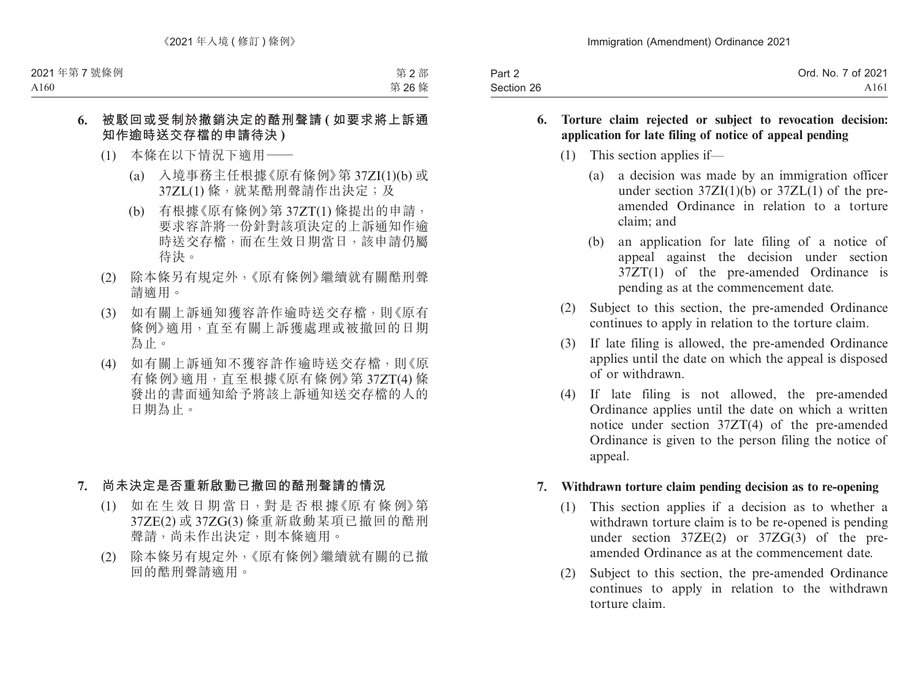| Part 2     | Ord. No. 7 of 2021 |
|------------|--------------------|
| Section 26 | A <sub>161</sub>   |

- **6. Torture claim rejected or subject to revocation decision: application for late filing of notice of appeal pending**
	- (1) This section applies if—
		- (a) a decision was made by an immigration officer under section  $37ZI(1)(b)$  or  $37ZL(1)$  of the preamended Ordinance in relation to a torture claim; and
		- (b) an application for late filing of a notice of appeal against the decision under section 37ZT(1) of the pre-amended Ordinance is pending as at the commencement date.
	- (2) Subject to this section, the pre-amended Ordinance continues to apply in relation to the torture claim.
	- (3) If late filing is allowed, the pre-amended Ordinance applies until the date on which the appeal is disposed of or withdrawn.
	- (4) If late filing is not allowed, the pre-amended Ordinance applies until the date on which a written notice under section 37ZT(4) of the pre-amended Ordinance is given to the person filing the notice of appeal.

### **7. Withdrawn torture claim pending decision as to re-opening**

- (1) This section applies if a decision as to whether a withdrawn torture claim is to be re-opened is pending under section 37ZE(2) or 37ZG(3) of the preamended Ordinance as at the commencement date.
- (2) Subject to this section, the pre-amended Ordinance continues to apply in relation to the withdrawn torture claim.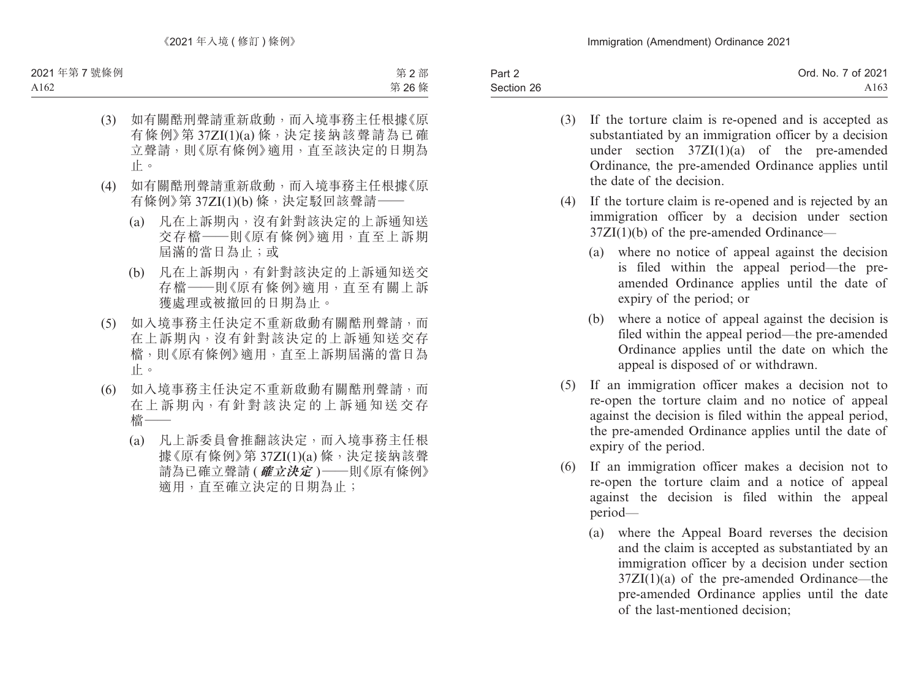| Part 2     | Ord. No. 7 of 2021 |
|------------|--------------------|
| Section 26 | A163               |

- (3) If the torture claim is re-opened and is accepted as substantiated by an immigration officer by a decision under section 37ZI(1)(a) of the pre-amended Ordinance, the pre-amended Ordinance applies until the date of the decision.
- (4) If the torture claim is re-opened and is rejected by an immigration officer by a decision under section  $37ZI(1)(b)$  of the pre-amended Ordinance—
	- (a) where no notice of appeal against the decision is filed within the appeal period—the preamended Ordinance applies until the date of expiry of the period; or
	- (b) where a notice of appeal against the decision is filed within the appeal period—the pre-amended Ordinance applies until the date on which the appeal is disposed of or withdrawn.
- (5) If an immigration officer makes a decision not to re-open the torture claim and no notice of appeal against the decision is filed within the appeal period, the pre-amended Ordinance applies until the date of expiry of the period.
- (6) If an immigration officer makes a decision not to re-open the torture claim and a notice of appeal against the decision is filed within the appeal period—
	- (a) where the Appeal Board reverses the decision and the claim is accepted as substantiated by an immigration officer by a decision under section  $37ZI(1)(a)$  of the pre-amended Ordinance—the pre-amended Ordinance applies until the date of the last-mentioned decision;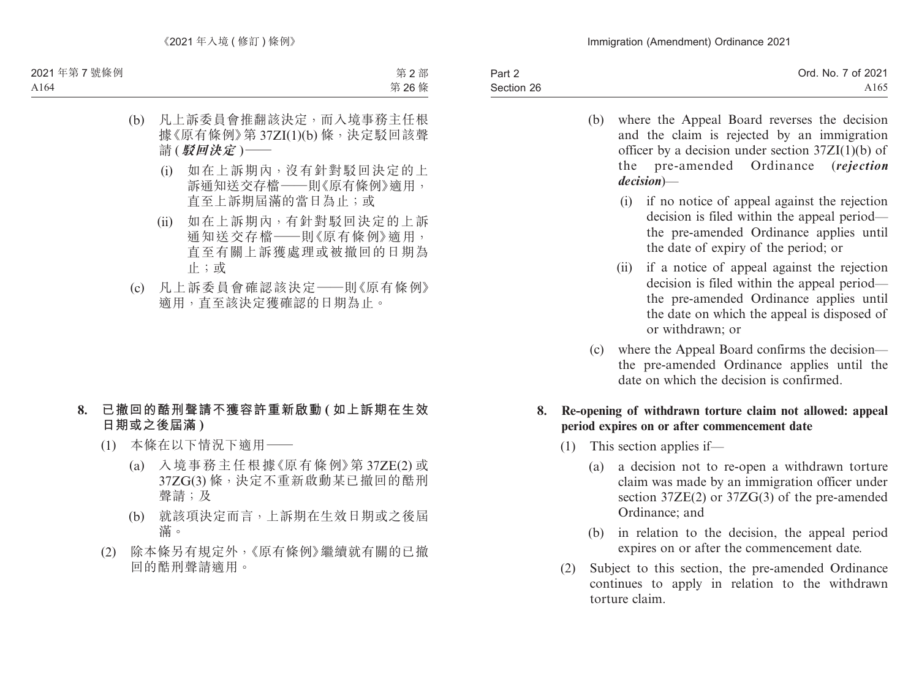| Part 2     | Ord. No. 7 of 2021 |
|------------|--------------------|
| Section 26 | A <sub>165</sub>   |

- (b) where the Appeal Board reverses the decision and the claim is rejected by an immigration officer by a decision under section  $37ZI(1)(b)$  of the pre-amended Ordinance (*rejection decision*)—
	- (i) if no notice of appeal against the rejection decision is filed within the appeal period the pre-amended Ordinance applies until the date of expiry of the period; or
	- (ii) if a notice of appeal against the rejection decision is filed within the appeal period the pre-amended Ordinance applies until the date on which the appeal is disposed of or withdrawn; or
- (c) where the Appeal Board confirms the decision the pre-amended Ordinance applies until the date on which the decision is confirmed.

### **8. Re-opening of withdrawn torture claim not allowed: appeal period expires on or after commencement date**

- (1) This section applies if—
	- (a) a decision not to re-open a withdrawn torture claim was made by an immigration officer under section 37ZE(2) or 37ZG(3) of the pre-amended Ordinance; and
	- (b) in relation to the decision, the appeal period expires on or after the commencement date.
- (2) Subject to this section, the pre-amended Ordinance continues to apply in relation to the withdrawn torture claim.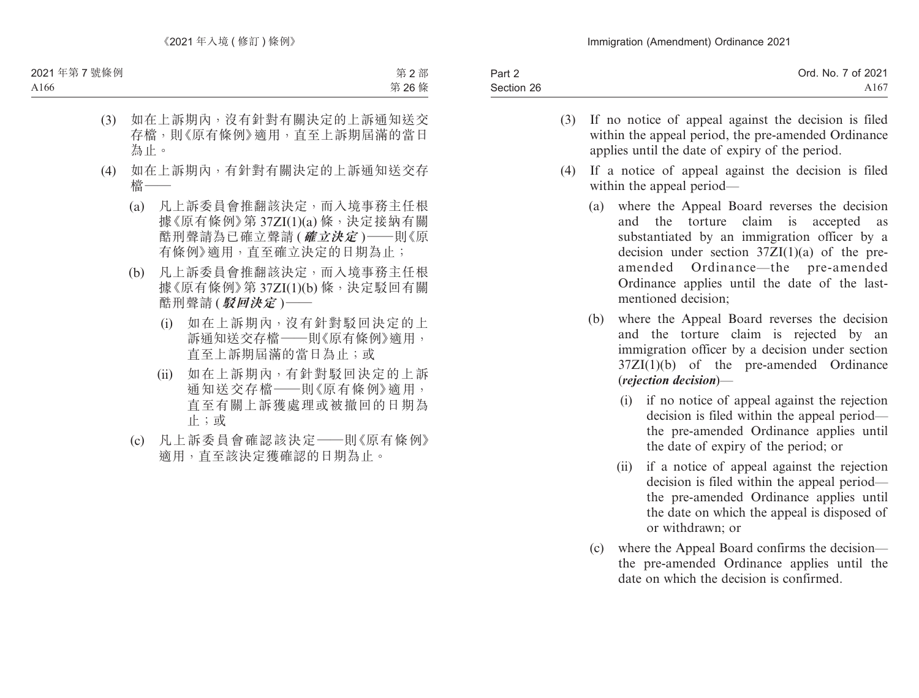| Part 2     | Ord. No. 7 of 2021 |
|------------|--------------------|
| Section 26 | A167               |

- (3) If no notice of appeal against the decision is filed within the appeal period, the pre-amended Ordinance applies until the date of expiry of the period.
- (4) If a notice of appeal against the decision is filed within the appeal period—
	- (a) where the Appeal Board reverses the decision and the torture claim is accepted as substantiated by an immigration officer by a decision under section  $37ZI(1)(a)$  of the preamended Ordinance—the pre-amended Ordinance applies until the date of the lastmentioned decision;
	- (b) where the Appeal Board reverses the decision and the torture claim is rejected by an immigration officer by a decision under section 37ZI(1)(b) of the pre-amended Ordinance (*rejection decision*)—
		- (i) if no notice of appeal against the rejection decision is filed within the appeal period the pre-amended Ordinance applies until the date of expiry of the period; or
		- (ii) if a notice of appeal against the rejection decision is filed within the appeal period the pre-amended Ordinance applies until the date on which the appeal is disposed of or withdrawn; or
	- (c) where the Appeal Board confirms the decision the pre-amended Ordinance applies until the date on which the decision is confirmed.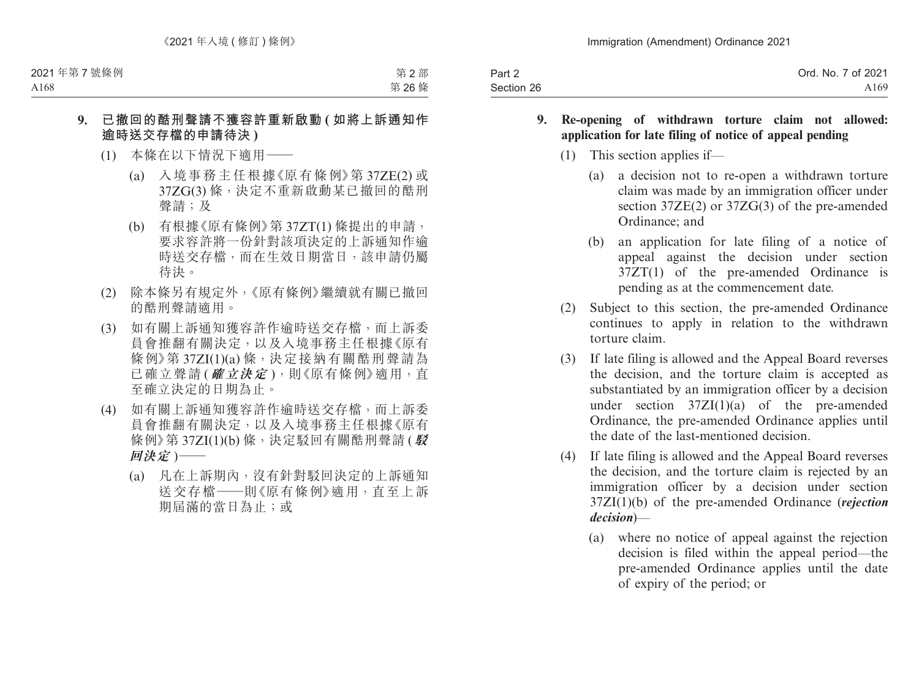| Part 2     | Ord. No. 7 of 2021 |
|------------|--------------------|
| Section 26 | A169               |

#### **9. Re-opening of withdrawn torture claim not allowed: application for late filing of notice of appeal pending**

- (1) This section applies if—
	- (a) a decision not to re-open a withdrawn torture claim was made by an immigration officer under section 37ZE(2) or 37ZG(3) of the pre-amended Ordinance; and
	- (b) an application for late filing of a notice of appeal against the decision under section 37ZT(1) of the pre-amended Ordinance is pending as at the commencement date.
- (2) Subject to this section, the pre-amended Ordinance continues to apply in relation to the withdrawn torture claim.
- (3) If late filing is allowed and the Appeal Board reverses the decision, and the torture claim is accepted as substantiated by an immigration officer by a decision under section  $37ZI(1)(a)$  of the pre-amended Ordinance, the pre-amended Ordinance applies until the date of the last-mentioned decision.
- (4) If late filing is allowed and the Appeal Board reverses the decision, and the torture claim is rejected by an immigration officer by a decision under section 37ZI(1)(b) of the pre-amended Ordinance (*rejection decision*)—
	- (a) where no notice of appeal against the rejection decision is filed within the appeal period—the pre-amended Ordinance applies until the date of expiry of the period; or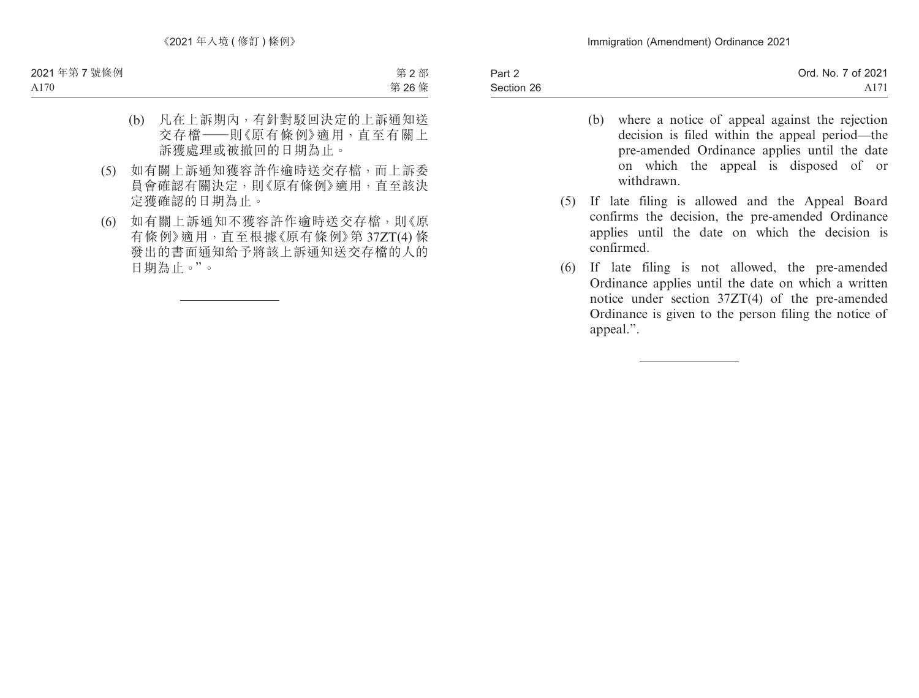- (b) where a notice of appeal against the rejection decision is filed within the appeal period—the pre-amended Ordinance applies until the date on which the appeal is disposed of or withdrawn.
- (5) If late filing is allowed and the Appeal Board confirms the decision, the pre-amended Ordinance applies until the date on which the decision is confirmed.
- (6) If late filing is not allowed, the pre-amended Ordinance applies until the date on which a written notice under section 37ZT(4) of the pre-amended Ordinance is given to the person filing the notice of appeal.".